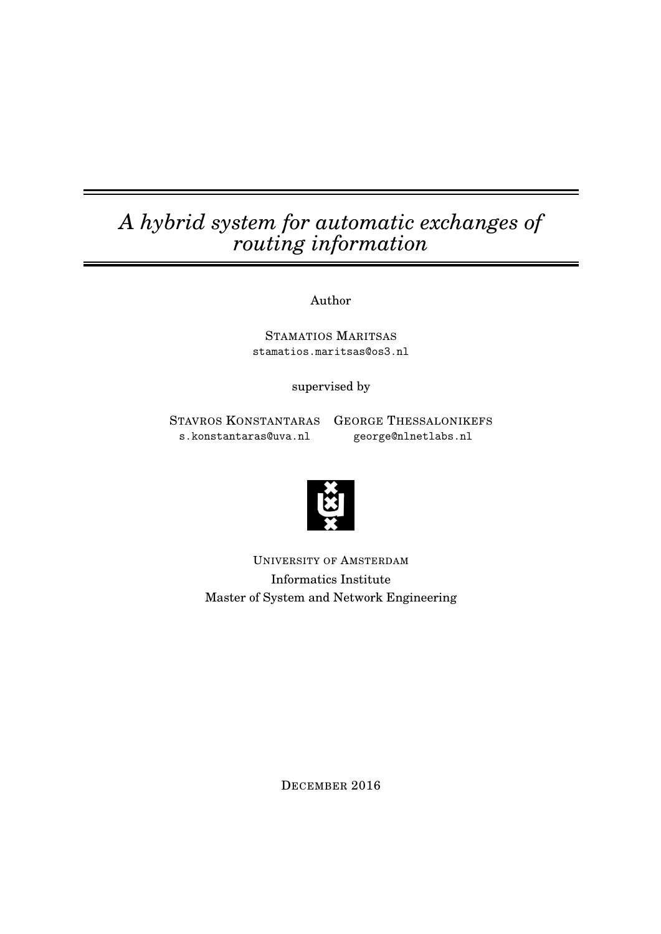# *A hybrid system for automatic exchanges of routing information*

Author

STAMATIOS MARITSAS stamatios.maritsas@os3.nl

supervised by

s.konstantaras@uva.nl george@nlnetlabs.nl

STAVROS KONSTANTARAS GEORGE THESSALONIKEFS



UNIVERSITY OF AMSTERDAM Informatics Institute Master of System and Network Engineering

DECEMBER 2016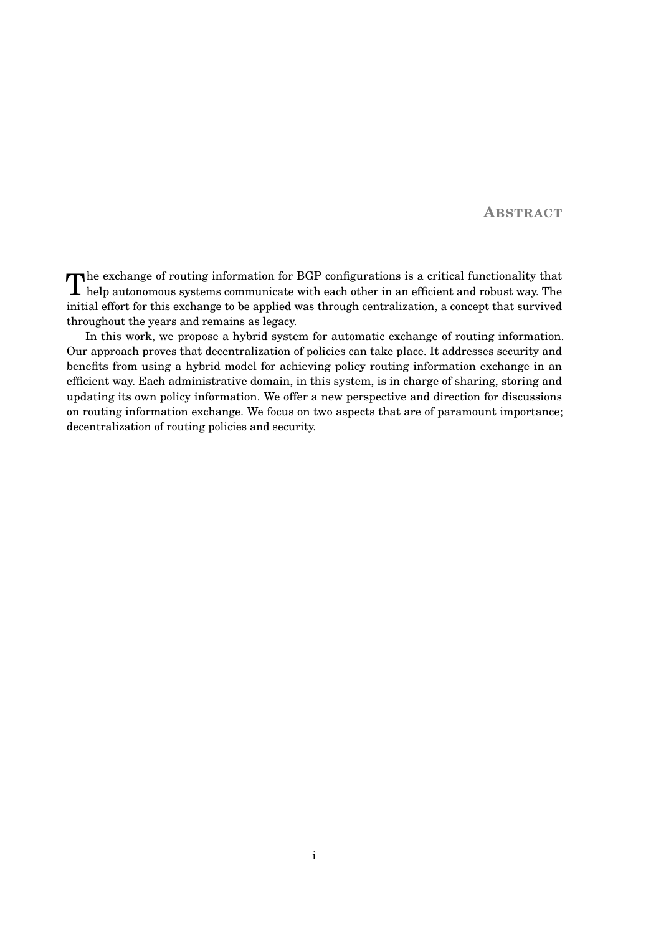**ABSTRACT**

The exchange of routing information for BGP configurations is a critical functionality that help autonomous systems communicate with each other in an efficient and robust way. The help autonomous systems communicate with each other in an efficient and robust way. The initial effort for this exchange to be applied was through centralization, a concept that survived throughout the years and remains as legacy.

In this work, we propose a hybrid system for automatic exchange of routing information. Our approach proves that decentralization of policies can take place. It addresses security and benefits from using a hybrid model for achieving policy routing information exchange in an efficient way. Each administrative domain, in this system, is in charge of sharing, storing and updating its own policy information. We offer a new perspective and direction for discussions on routing information exchange. We focus on two aspects that are of paramount importance; decentralization of routing policies and security.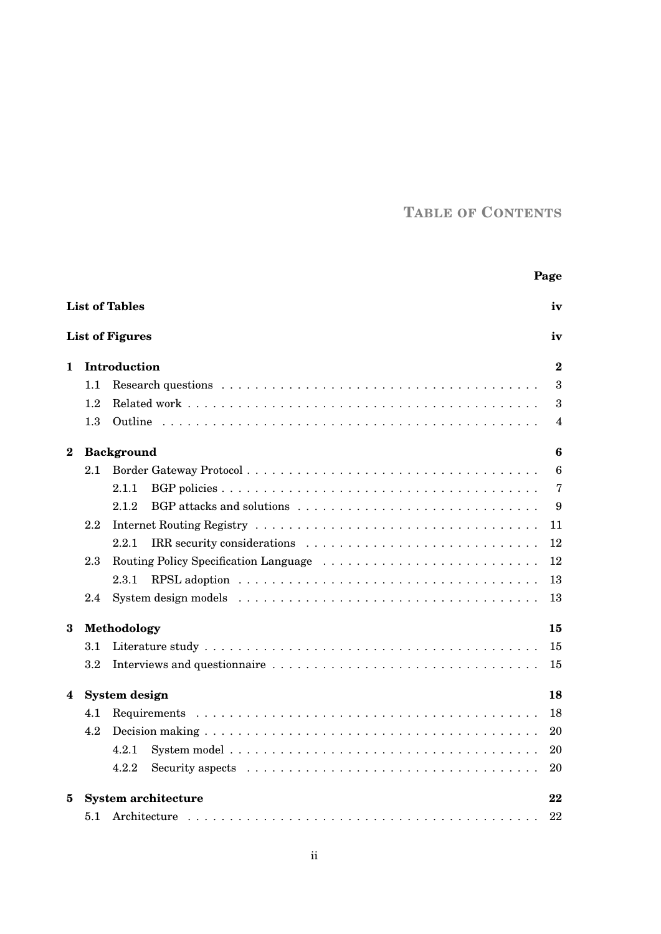# **TABLE OF CONTENTS**

|                                 |                     | Page                                                                                                     |                  |  |  |  |
|---------------------------------|---------------------|----------------------------------------------------------------------------------------------------------|------------------|--|--|--|
|                                 |                     | <b>List of Tables</b>                                                                                    | iv               |  |  |  |
|                                 |                     | <b>List of Figures</b>                                                                                   | iv               |  |  |  |
| 1.                              |                     | Introduction                                                                                             | $\bf{2}$         |  |  |  |
|                                 | 1.1                 |                                                                                                          | 3                |  |  |  |
|                                 | 1.2                 |                                                                                                          | $\boldsymbol{3}$ |  |  |  |
|                                 | 1.3                 |                                                                                                          | 4                |  |  |  |
| $\bf{2}$                        |                     | <b>Background</b>                                                                                        | $\boldsymbol{6}$ |  |  |  |
|                                 | 2.1                 |                                                                                                          | $6\phantom{1}6$  |  |  |  |
|                                 |                     | 2.1.1                                                                                                    | $\overline{7}$   |  |  |  |
|                                 |                     | 2.1.2                                                                                                    | 9                |  |  |  |
|                                 | 2.2                 |                                                                                                          | 11               |  |  |  |
|                                 |                     | 2.2.1                                                                                                    | 12               |  |  |  |
|                                 | 2.3                 |                                                                                                          | 12               |  |  |  |
|                                 |                     | $2.3.1\,$                                                                                                | 13               |  |  |  |
|                                 | 2.4                 |                                                                                                          | 13               |  |  |  |
| 3                               |                     | Methodology<br>15                                                                                        |                  |  |  |  |
|                                 | 3.1                 |                                                                                                          | 15               |  |  |  |
|                                 | 3.2                 |                                                                                                          | 15               |  |  |  |
| 4                               | System design<br>18 |                                                                                                          |                  |  |  |  |
|                                 | 4.1                 |                                                                                                          | 18               |  |  |  |
|                                 | 4.2                 |                                                                                                          | 20               |  |  |  |
|                                 |                     | 4.2.1                                                                                                    | 20               |  |  |  |
|                                 |                     | Security aspects $\ldots \ldots \ldots \ldots \ldots \ldots \ldots \ldots \ldots \ldots \ldots$<br>4.2.2 | 20               |  |  |  |
| <b>System architecture</b><br>5 |                     |                                                                                                          | 22               |  |  |  |
|                                 | 5.1                 |                                                                                                          | 22               |  |  |  |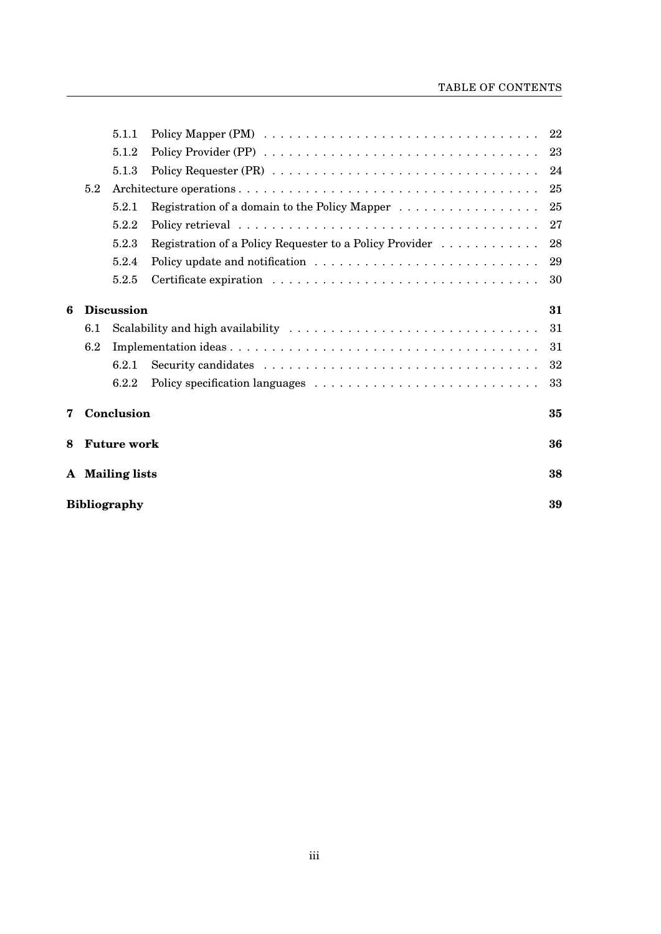### TABLE OF CONTENTS

|   |                     | 5.1.1              |                                                         |    |  |
|---|---------------------|--------------------|---------------------------------------------------------|----|--|
|   |                     | 5.1.2              |                                                         | 23 |  |
|   |                     | 5.1.3              |                                                         | 24 |  |
|   | 5.2                 |                    |                                                         | 25 |  |
|   |                     | 5.2.1              | Registration of a domain to the Policy Mapper           | 25 |  |
|   |                     | 5.2.2              |                                                         | 27 |  |
|   |                     | 5.2.3              | Registration of a Policy Requester to a Policy Provider | 28 |  |
|   |                     | 5.2.4              |                                                         | 29 |  |
|   |                     | 5.2.5              |                                                         | 30 |  |
| 6 |                     | <b>Discussion</b>  |                                                         | 31 |  |
|   | 6.1                 |                    |                                                         | 31 |  |
|   | 6.2                 |                    |                                                         | 31 |  |
|   |                     | 6.2.1              |                                                         | 32 |  |
|   |                     | 6.2.2              |                                                         | 33 |  |
| 7 |                     | Conclusion         |                                                         | 35 |  |
| 8 |                     | <b>Future work</b> | 36<br>38<br>39                                          |    |  |
|   | A Mailing lists     |                    |                                                         |    |  |
|   | <b>Bibliography</b> |                    |                                                         |    |  |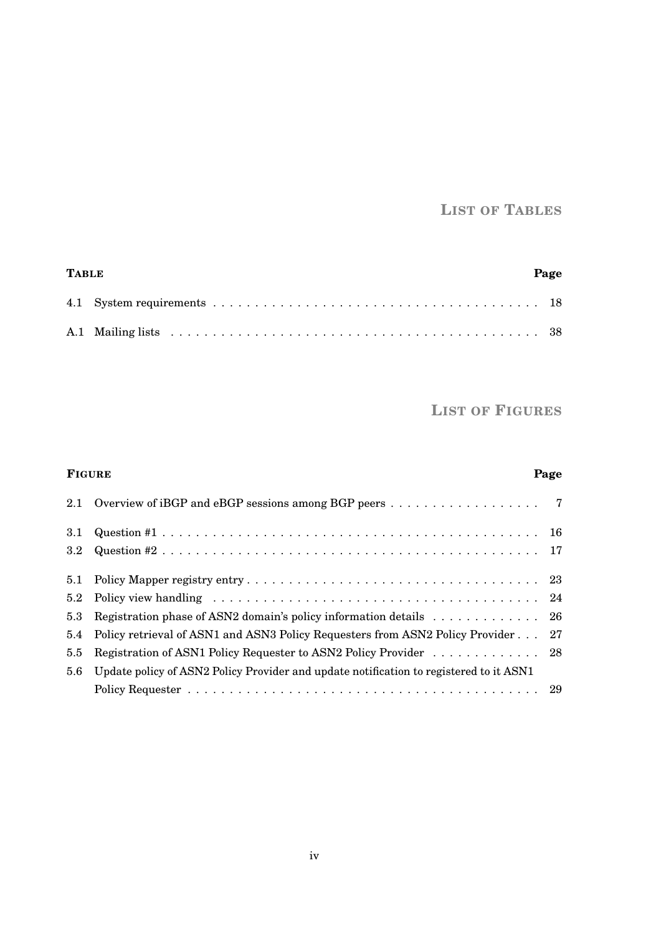# **LIST OF TABLES**

<span id="page-4-0"></span>

| <b>TABLE</b> | Page |
|--------------|------|
|              |      |
|              |      |

**LIST OF FIGURES**

# <span id="page-4-1"></span>**FIGURE Page** [2.1 Overview of iBGP and eBGP sessions among BGP peers](#page-11-1) . . . . . . . . . . . . . . . . . . 7 [3.1 Question #1](#page-20-0) . . . . . . . . . . . . . . . . . . . . . . . . . . . . . . . . . . . . . . . . . . . . . 16 [3.2 Question #2](#page-21-0) . . . . . . . . . . . . . . . . . . . . . . . . . . . . . . . . . . . . . . . . . . . . . 17 [5.1 Policy Mapper registry entry](#page-27-1) . . . . . . . . . . . . . . . . . . . . . . . . . . . . . . . . . . . 23 [5.2 Policy view handling](#page-28-1) . . . . . . . . . . . . . . . . . . . . . . . . . . . . . . . . . . . . . . . 24 [5.3 Registration phase of ASN2 domain's policy information details](#page-30-0) . . . . . . . . . . . . . 26 [5.4 Policy retrieval of ASN1 and ASN3 Policy Requesters from ASN2 Policy Provider](#page-31-1) . . . 27 [5.5 Registration of ASN1 Policy Requester to ASN2 Policy Provider](#page-32-1) . . . . . . . . . . . . 28 5.6 [Update policy of ASN2 Policy Provider and update notification to registered to it ASN1](#page-33-1) [Policy Requester](#page-33-1) . . . . . . . . . . . . . . . . . . . . . . . . . . . . . . . . . . . . . . . . . . 29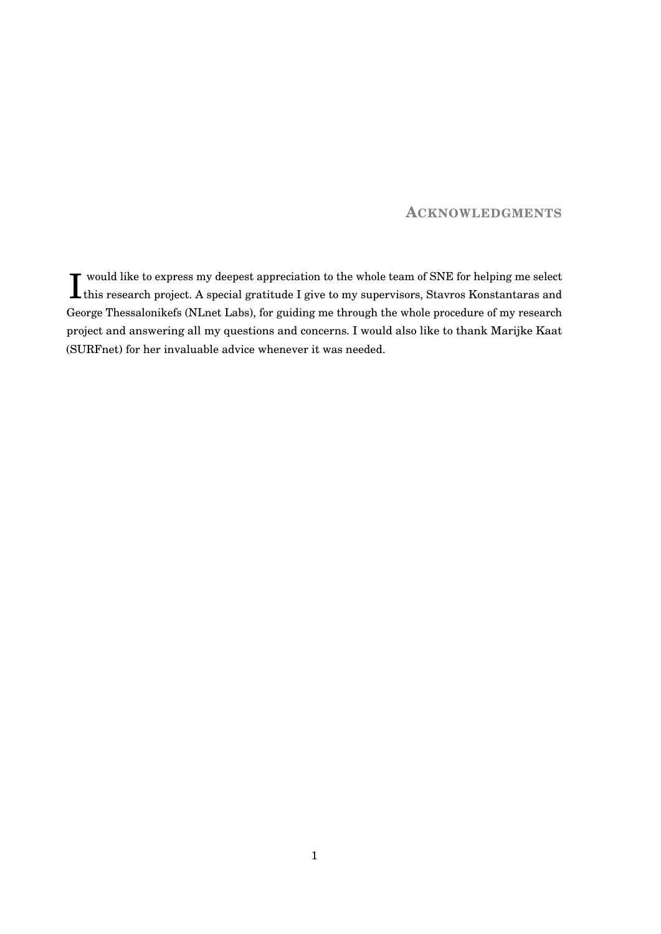### **ACKNOWLEDGMENTS**

 $\prod_{}^{\text{would like to express my deepest appreciation to the whole team of SNE for helping me select this research project. A special gratitude I give to my supervisors, Stavros Konstantaras and$ this research project. A special gratitude I give to my supervisors, Stavros Konstantaras and George Thessalonikefs (NLnet Labs), for guiding me through the whole procedure of my research project and answering all my questions and concerns. I would also like to thank Marijke Kaat (SURFnet) for her invaluable advice whenever it was needed.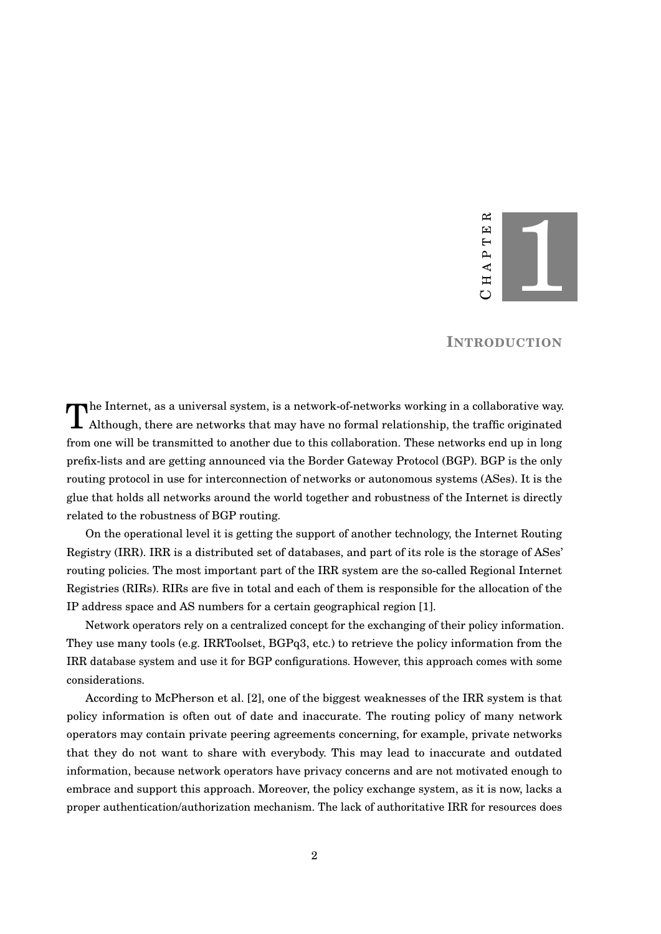

### **INTRODUCTION**

<span id="page-6-0"></span>The Internet, as a universal system, is a network-of-networks working in a collaborative way.<br>Although, there are networks that may have no formal relationship, the traffic originated  $\blacksquare$  Although, there are networks that may have no formal relationship, the traffic originated from one will be transmitted to another due to this collaboration. These networks end up in long prefix-lists and are getting announced via the Border Gateway Protocol (BGP). BGP is the only routing protocol in use for interconnection of networks or autonomous systems (ASes). It is the glue that holds all networks around the world together and robustness of the Internet is directly related to the robustness of BGP routing.

On the operational level it is getting the support of another technology, the Internet Routing Registry (IRR). IRR is a distributed set of databases, and part of its role is the storage of ASes' routing policies. The most important part of the IRR system are the so-called Regional Internet Registries (RIRs). RIRs are five in total and each of them is responsible for the allocation of the IP address space and AS numbers for a certain geographical region [\[1\]](#page-43-0).

Network operators rely on a centralized concept for the exchanging of their policy information. They use many tools (e.g. IRRToolset, BGPq3, etc.) to retrieve the policy information from the IRR database system and use it for BGP configurations. However, this approach comes with some considerations.

According to McPherson et al. [\[2\]](#page-43-1), one of the biggest weaknesses of the IRR system is that policy information is often out of date and inaccurate. The routing policy of many network operators may contain private peering agreements concerning, for example, private networks that they do not want to share with everybody. This may lead to inaccurate and outdated information, because network operators have privacy concerns and are not motivated enough to embrace and support this approach. Moreover, the policy exchange system, as it is now, lacks a proper authentication/authorization mechanism. The lack of authoritative IRR for resources does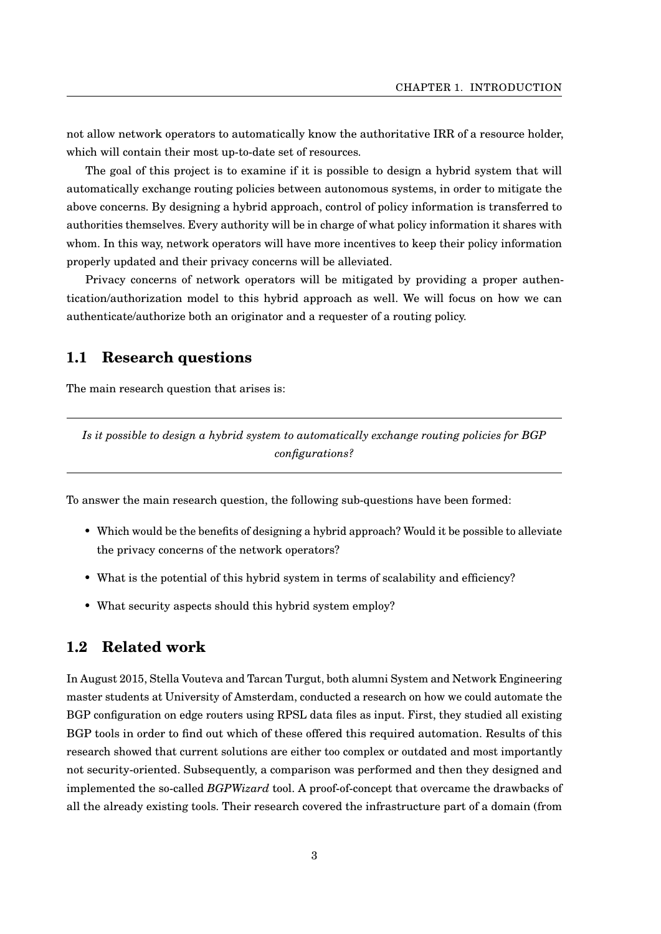not allow network operators to automatically know the authoritative IRR of a resource holder, which will contain their most up-to-date set of resources.

The goal of this project is to examine if it is possible to design a hybrid system that will automatically exchange routing policies between autonomous systems, in order to mitigate the above concerns. By designing a hybrid approach, control of policy information is transferred to authorities themselves. Every authority will be in charge of what policy information it shares with whom. In this way, network operators will have more incentives to keep their policy information properly updated and their privacy concerns will be alleviated.

Privacy concerns of network operators will be mitigated by providing a proper authentication/authorization model to this hybrid approach as well. We will focus on how we can authenticate/authorize both an originator and a requester of a routing policy.

# <span id="page-7-0"></span>**1.1 Research questions**

The main research question that arises is:

*Is it possible to design a hybrid system to automatically exchange routing policies for BGP configurations?*

To answer the main research question, the following sub-questions have been formed:

- Which would be the benefits of designing a hybrid approach? Would it be possible to alleviate the privacy concerns of the network operators?
- What is the potential of this hybrid system in terms of scalability and efficiency?
- What security aspects should this hybrid system employ?

### <span id="page-7-1"></span>**1.2 Related work**

In August 2015, Stella Vouteva and Tarcan Turgut, both alumni System and Network Engineering master students at University of Amsterdam, conducted a research on how we could automate the BGP configuration on edge routers using RPSL data files as input. First, they studied all existing BGP tools in order to find out which of these offered this required automation. Results of this research showed that current solutions are either too complex or outdated and most importantly not security-oriented. Subsequently, a comparison was performed and then they designed and implemented the so-called *BGPWizard* tool. A proof-of-concept that overcame the drawbacks of all the already existing tools. Their research covered the infrastructure part of a domain (from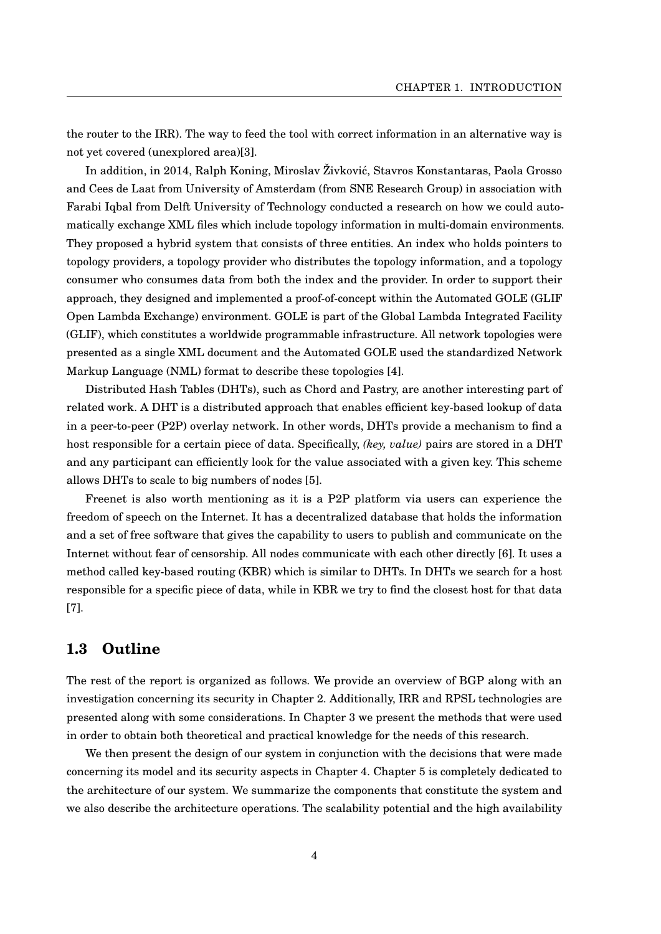the router to the IRR). The way to feed the tool with correct information in an alternative way is not yet covered (unexplored area)[\[3\]](#page-43-2).

In addition, in 2014, Ralph Koning, Miroslav Živkovic, Stavros Konstantaras, Paola Grosso ´ and Cees de Laat from University of Amsterdam (from SNE Research Group) in association with Farabi Iqbal from Delft University of Technology conducted a research on how we could automatically exchange XML files which include topology information in multi-domain environments. They proposed a hybrid system that consists of three entities. An index who holds pointers to topology providers, a topology provider who distributes the topology information, and a topology consumer who consumes data from both the index and the provider. In order to support their approach, they designed and implemented a proof-of-concept within the Automated GOLE (GLIF Open Lambda Exchange) environment. GOLE is part of the Global Lambda Integrated Facility (GLIF), which constitutes a worldwide programmable infrastructure. All network topologies were presented as a single XML document and the Automated GOLE used the standardized Network Markup Language (NML) format to describe these topologies [\[4\]](#page-43-3).

Distributed Hash Tables (DHTs), such as Chord and Pastry, are another interesting part of related work. A DHT is a distributed approach that enables efficient key-based lookup of data in a peer-to-peer (P2P) overlay network. In other words, DHTs provide a mechanism to find a host responsible for a certain piece of data. Specifically, *(key, value)* pairs are stored in a DHT and any participant can efficiently look for the value associated with a given key. This scheme allows DHTs to scale to big numbers of nodes [\[5\]](#page-43-4).

Freenet is also worth mentioning as it is a P2P platform via users can experience the freedom of speech on the Internet. It has a decentralized database that holds the information and a set of free software that gives the capability to users to publish and communicate on the Internet without fear of censorship. All nodes communicate with each other directly [\[6\]](#page-43-5). It uses a method called key-based routing (KBR) which is similar to DHTs. In DHTs we search for a host responsible for a specific piece of data, while in KBR we try to find the closest host for that data [\[7\]](#page-43-6).

# <span id="page-8-0"></span>**1.3 Outline**

The rest of the report is organized as follows. We provide an overview of BGP along with an investigation concerning its security in Chapter [2.](#page-10-0) Additionally, IRR and RPSL technologies are presented along with some considerations. In Chapter [3](#page-19-0) we present the methods that were used in order to obtain both theoretical and practical knowledge for the needs of this research.

We then present the design of our system in conjunction with the decisions that were made concerning its model and its security aspects in Chapter [4.](#page-22-0) Chapter [5](#page-26-0) is completely dedicated to the architecture of our system. We summarize the components that constitute the system and we also describe the architecture operations. The scalability potential and the high availability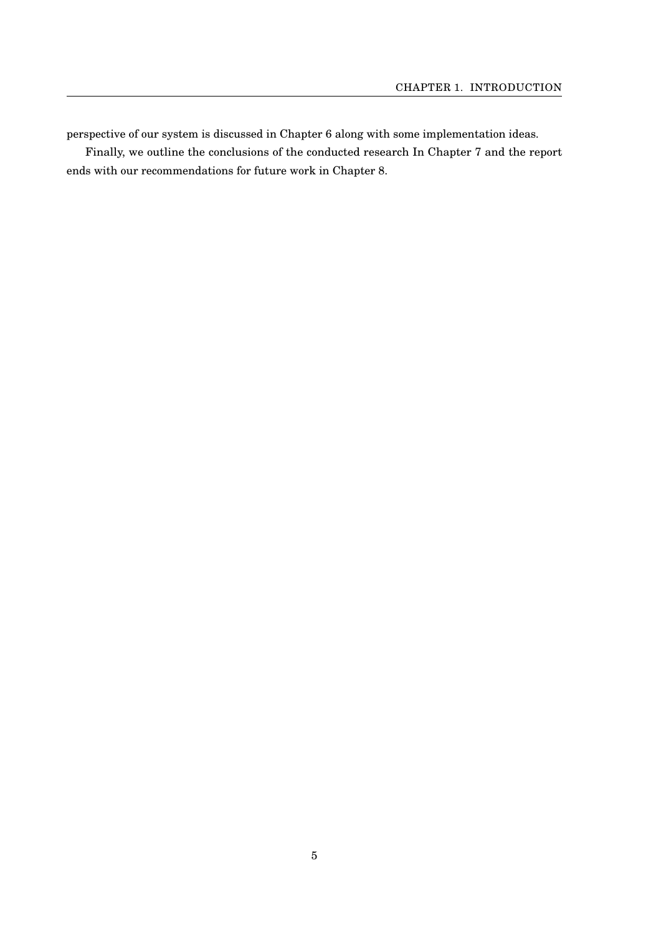perspective of our system is discussed in Chapter [6](#page-35-0) along with some implementation ideas.

Finally, we outline the conclusions of the conducted research In Chapter [7](#page-39-0) and the report ends with our recommendations for future work in Chapter [8.](#page-40-0)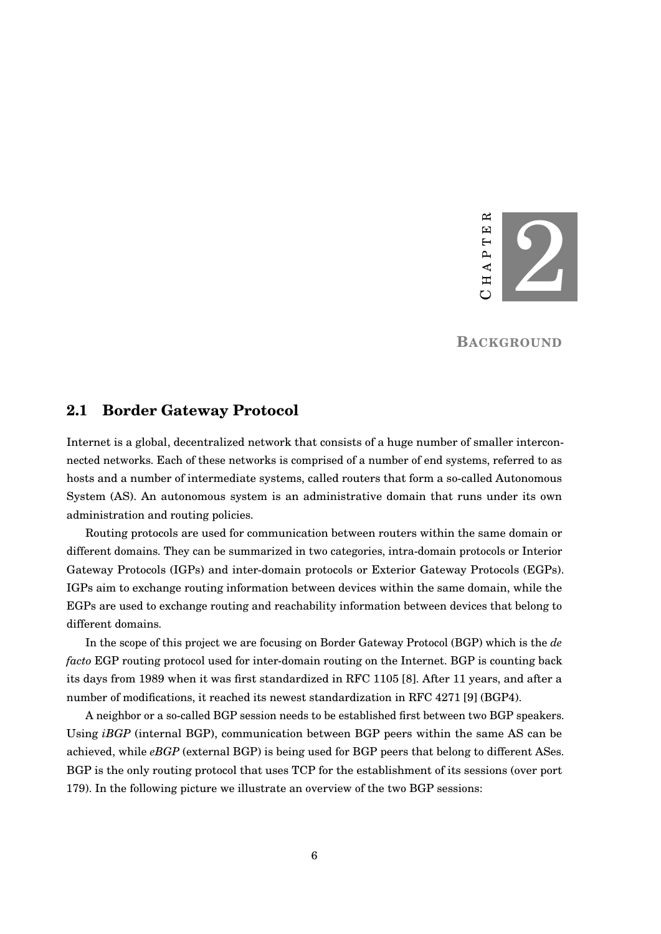

**BACKGROUND**

### <span id="page-10-1"></span><span id="page-10-0"></span>**2.1 Border Gateway Protocol**

Internet is a global, decentralized network that consists of a huge number of smaller interconnected networks. Each of these networks is comprised of a number of end systems, referred to as hosts and a number of intermediate systems, called routers that form a so-called Autonomous System (AS). An autonomous system is an administrative domain that runs under its own administration and routing policies.

Routing protocols are used for communication between routers within the same domain or different domains. They can be summarized in two categories, intra-domain protocols or Interior Gateway Protocols (IGPs) and inter-domain protocols or Exterior Gateway Protocols (EGPs). IGPs aim to exchange routing information between devices within the same domain, while the EGPs are used to exchange routing and reachability information between devices that belong to different domains.

In the scope of this project we are focusing on Border Gateway Protocol (BGP) which is the *de facto* EGP routing protocol used for inter-domain routing on the Internet. BGP is counting back its days from 1989 when it was first standardized in RFC 1105 [\[8\]](#page-43-7). After 11 years, and after a number of modifications, it reached its newest standardization in RFC 4271 [\[9\]](#page-43-8) (BGP4).

A neighbor or a so-called BGP session needs to be established first between two BGP speakers. Using *iBGP* (internal BGP), communication between BGP peers within the same AS can be achieved, while *eBGP* (external BGP) is being used for BGP peers that belong to different ASes. BGP is the only routing protocol that uses TCP for the establishment of its sessions (over port 179). In the following picture we illustrate an overview of the two BGP sessions: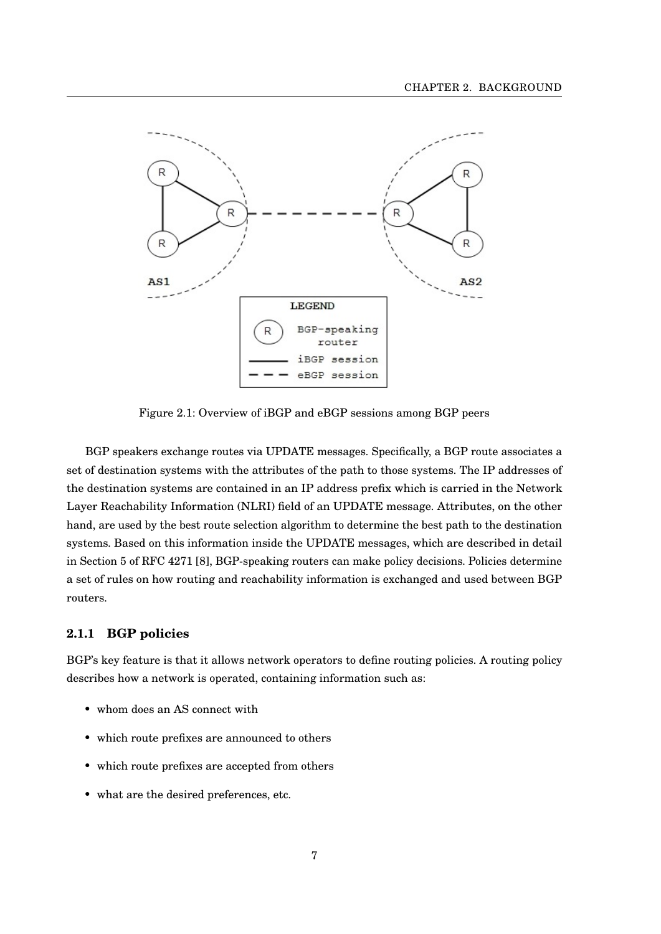<span id="page-11-1"></span>

Figure 2.1: Overview of iBGP and eBGP sessions among BGP peers

BGP speakers exchange routes via UPDATE messages. Specifically, a BGP route associates a set of destination systems with the attributes of the path to those systems. The IP addresses of the destination systems are contained in an IP address prefix which is carried in the Network Layer Reachability Information (NLRI) field of an UPDATE message. Attributes, on the other hand, are used by the best route selection algorithm to determine the best path to the destination systems. Based on this information inside the UPDATE messages, which are described in detail in Section 5 of RFC 4271 [\[8\]](#page-43-7), BGP-speaking routers can make policy decisions. Policies determine a set of rules on how routing and reachability information is exchanged and used between BGP routers.

#### <span id="page-11-0"></span>**2.1.1 BGP policies**

BGP's key feature is that it allows network operators to define routing policies. A routing policy describes how a network is operated, containing information such as:

- whom does an AS connect with
- which route prefixes are announced to others
- which route prefixes are accepted from others
- what are the desired preferences, etc.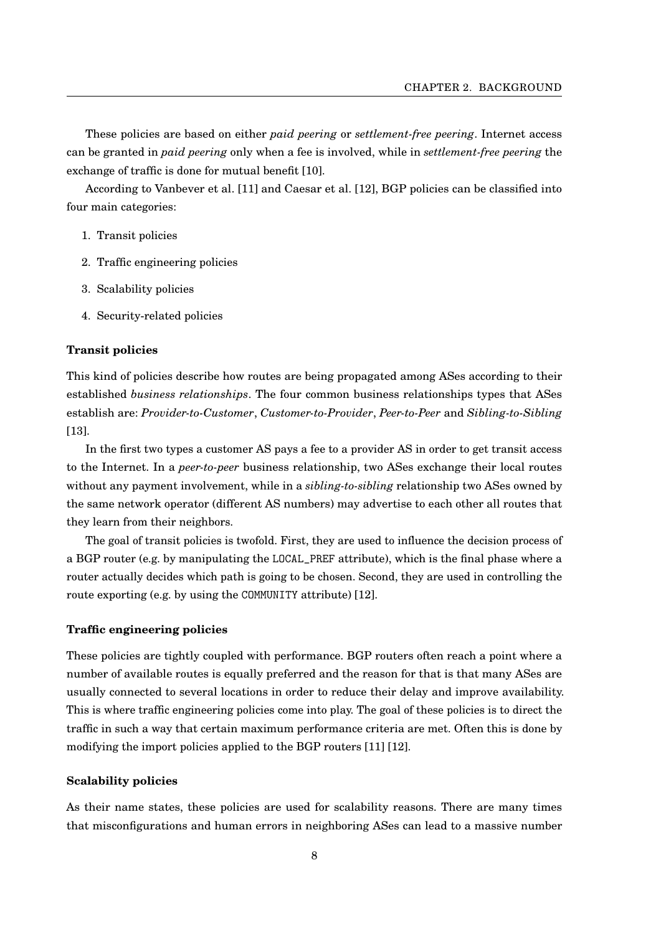These policies are based on either *paid peering* or *settlement-free peering*. Internet access can be granted in *paid peering* only when a fee is involved, while in *settlement-free peering* the exchange of traffic is done for mutual benefit [\[10\]](#page-43-9).

According to Vanbever et al. [\[11\]](#page-44-0) and Caesar et al. [\[12\]](#page-44-1), BGP policies can be classified into four main categories:

- 1. Transit policies
- 2. Traffic engineering policies
- 3. Scalability policies
- 4. Security-related policies

#### **Transit policies**

This kind of policies describe how routes are being propagated among ASes according to their established *business relationships*. The four common business relationships types that ASes establish are: *Provider-to-Customer*, *Customer-to-Provider*, *Peer-to-Peer* and *Sibling-to-Sibling* [\[13\]](#page-44-2).

In the first two types a customer AS pays a fee to a provider AS in order to get transit access to the Internet. In a *peer-to-peer* business relationship, two ASes exchange their local routes without any payment involvement, while in a *sibling-to-sibling* relationship two ASes owned by the same network operator (different AS numbers) may advertise to each other all routes that they learn from their neighbors.

The goal of transit policies is twofold. First, they are used to influence the decision process of a BGP router (e.g. by manipulating the LOCAL\_PREF attribute), which is the final phase where a router actually decides which path is going to be chosen. Second, they are used in controlling the route exporting (e.g. by using the COMMUNITY attribute) [\[12\]](#page-44-1).

#### **Traffic engineering policies**

These policies are tightly coupled with performance. BGP routers often reach a point where a number of available routes is equally preferred and the reason for that is that many ASes are usually connected to several locations in order to reduce their delay and improve availability. This is where traffic engineering policies come into play. The goal of these policies is to direct the traffic in such a way that certain maximum performance criteria are met. Often this is done by modifying the import policies applied to the BGP routers [\[11\]](#page-44-0) [\[12\]](#page-44-1).

#### **Scalability policies**

As their name states, these policies are used for scalability reasons. There are many times that misconfigurations and human errors in neighboring ASes can lead to a massive number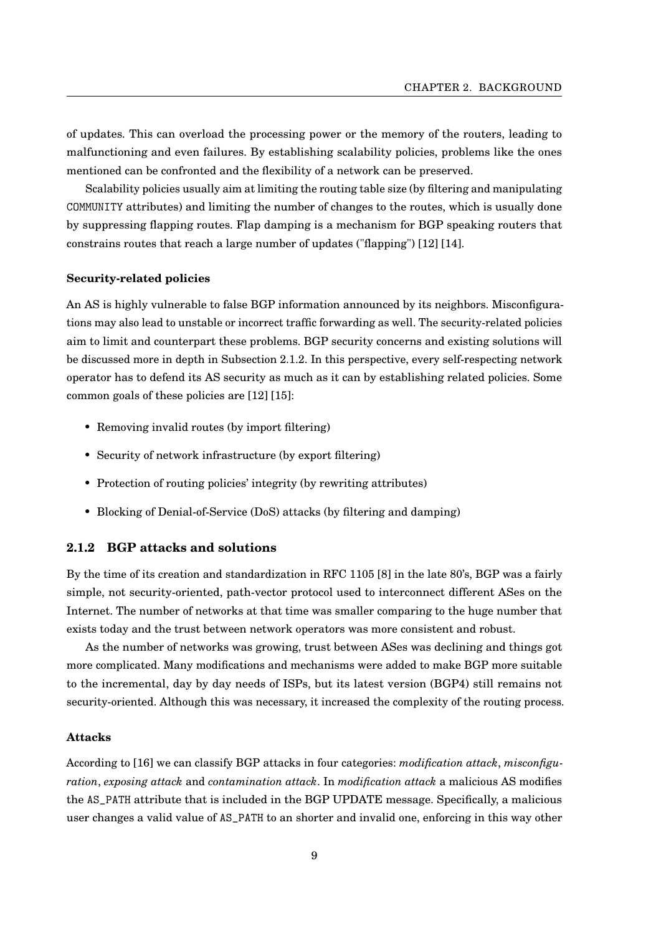of updates. This can overload the processing power or the memory of the routers, leading to malfunctioning and even failures. By establishing scalability policies, problems like the ones mentioned can be confronted and the flexibility of a network can be preserved.

Scalability policies usually aim at limiting the routing table size (by filtering and manipulating COMMUNITY attributes) and limiting the number of changes to the routes, which is usually done by suppressing flapping routes. Flap damping is a mechanism for BGP speaking routers that constrains routes that reach a large number of updates ("flapping") [\[12\]](#page-44-1) [\[14\]](#page-44-3).

#### **Security-related policies**

An AS is highly vulnerable to false BGP information announced by its neighbors. Misconfigurations may also lead to unstable or incorrect traffic forwarding as well. The security-related policies aim to limit and counterpart these problems. BGP security concerns and existing solutions will be discussed more in depth in Subsection [2.1.2.](#page-13-0) In this perspective, every self-respecting network operator has to defend its AS security as much as it can by establishing related policies. Some common goals of these policies are [\[12\]](#page-44-1) [\[15\]](#page-44-4):

- Removing invalid routes (by import filtering)
- Security of network infrastructure (by export filtering)
- Protection of routing policies' integrity (by rewriting attributes)
- Blocking of Denial-of-Service (DoS) attacks (by filtering and damping)

#### <span id="page-13-0"></span>**2.1.2 BGP attacks and solutions**

By the time of its creation and standardization in RFC 1105 [\[8\]](#page-43-7) in the late 80's, BGP was a fairly simple, not security-oriented, path-vector protocol used to interconnect different ASes on the Internet. The number of networks at that time was smaller comparing to the huge number that exists today and the trust between network operators was more consistent and robust.

As the number of networks was growing, trust between ASes was declining and things got more complicated. Many modifications and mechanisms were added to make BGP more suitable to the incremental, day by day needs of ISPs, but its latest version (BGP4) still remains not security-oriented. Although this was necessary, it increased the complexity of the routing process.

#### **Attacks**

According to [\[16\]](#page-44-5) we can classify BGP attacks in four categories: *modification attack*, *misconfiguration*, *exposing attack* and *contamination attack*. In *modification attack* a malicious AS modifies the AS\_PATH attribute that is included in the BGP UPDATE message. Specifically, a malicious user changes a valid value of AS\_PATH to an shorter and invalid one, enforcing in this way other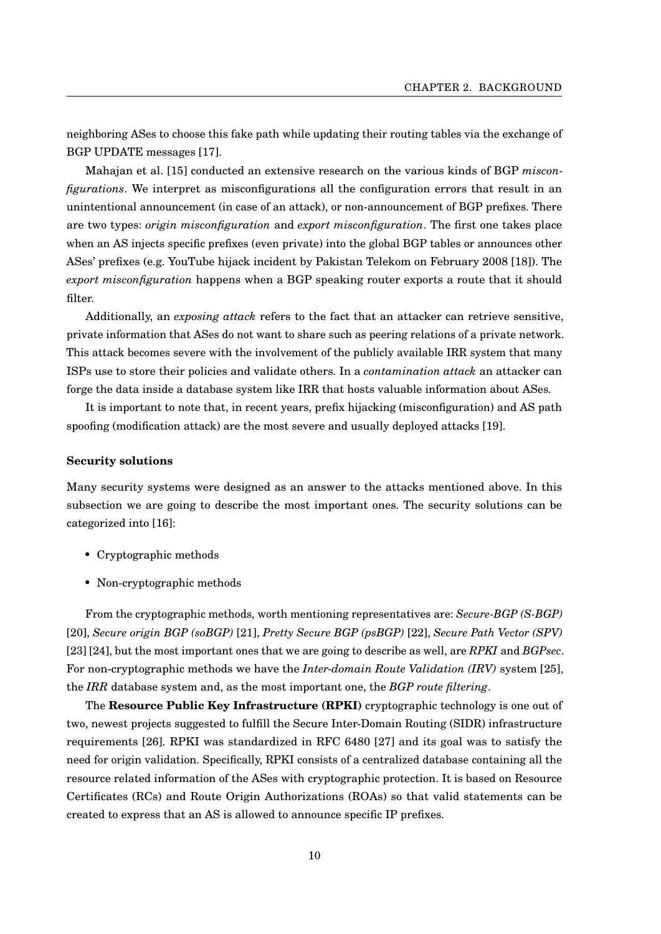neighboring ASes to choose this fake path while updating their routing tables via the exchange of BGP UPDATE messages [\[17\]](#page-44-6).

Mahajan et al. [\[15\]](#page-44-4) conducted an extensive research on the various kinds of BGP *misconfigurations*. We interpret as misconfigurations all the configuration errors that result in an unintentional announcement (in case of an attack), or non-announcement of BGP prefixes. There are two types: *origin misconfiguration* and *export misconfiguration*. The first one takes place when an AS injects specific prefixes (even private) into the global BGP tables or announces other ASes' prefixes (e.g. YouTube hijack incident by Pakistan Telekom on February 2008 [\[18\]](#page-44-7)). The *export misconfiguration* happens when a BGP speaking router exports a route that it should filter.

Additionally, an *exposing attack* refers to the fact that an attacker can retrieve sensitive, private information that ASes do not want to share such as peering relations of a private network. This attack becomes severe with the involvement of the publicly available IRR system that many ISPs use to store their policies and validate others. In a *contamination attack* an attacker can forge the data inside a database system like IRR that hosts valuable information about ASes.

It is important to note that, in recent years, prefix hijacking (misconfiguration) and AS path spoofing (modification attack) are the most severe and usually deployed attacks [\[19\]](#page-44-8).

#### <span id="page-14-0"></span>**Security solutions**

Many security systems were designed as an answer to the attacks mentioned above. In this subsection we are going to describe the most important ones. The security solutions can be categorized into [\[16\]](#page-44-5):

- Cryptographic methods
- Non-cryptographic methods

From the cryptographic methods, worth mentioning representatives are: *Secure-BGP (S-BGP)* [\[20\]](#page-44-9), *Secure origin BGP (soBGP)* [\[21\]](#page-44-10), *Pretty Secure BGP (psBGP)* [\[22\]](#page-44-11), *Secure Path Vector (SPV)* [\[23\]](#page-44-12) [\[24\]](#page-44-13), but the most important ones that we are going to describe as well, are *RPKI* and *BGPsec*. For non-cryptographic methods we have the *Inter-domain Route Validation (IRV)* system [\[25\]](#page-45-0), the *IRR* database system and, as the most important one, the *BGP route filtering*.

The **Resource Public Key Infrastructure (RPKI)** cryptographic technology is one out of two, newest projects suggested to fulfill the Secure Inter-Domain Routing (SIDR) infrastructure requirements [\[26\]](#page-45-1). RPKI was standardized in RFC 6480 [\[27\]](#page-45-2) and its goal was to satisfy the need for origin validation. Specifically, RPKI consists of a centralized database containing all the resource related information of the ASes with cryptographic protection. It is based on Resource Certificates (RCs) and Route Origin Authorizations (ROAs) so that valid statements can be created to express that an AS is allowed to announce specific IP prefixes.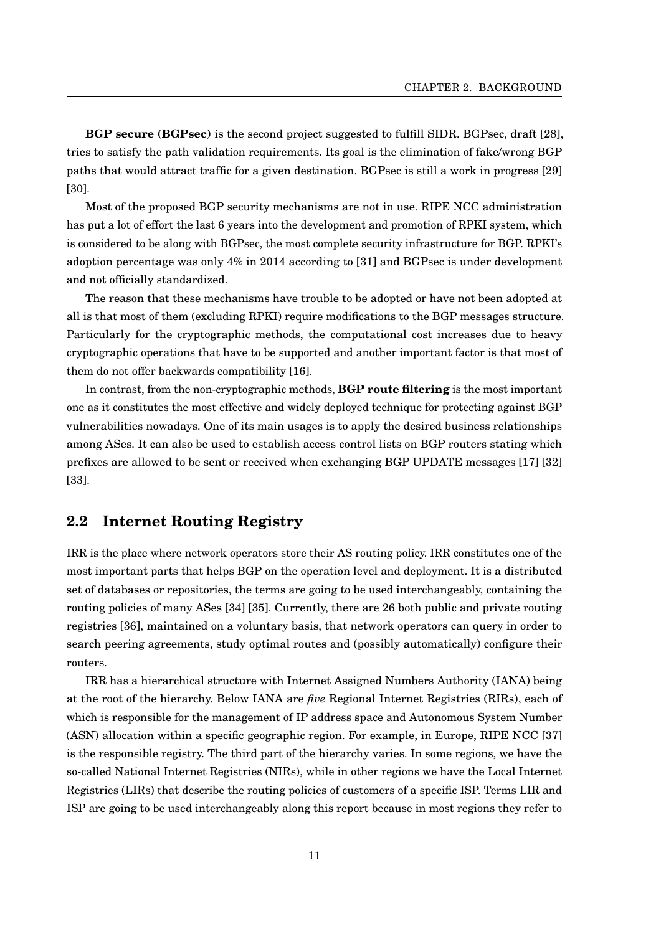**BGP secure (BGPsec)** is the second project suggested to fulfill SIDR. BGPsec, draft [\[28\]](#page-45-3), tries to satisfy the path validation requirements. Its goal is the elimination of fake/wrong BGP paths that would attract traffic for a given destination. BGPsec is still a work in progress [\[29\]](#page-45-4) [\[30\]](#page-45-5).

Most of the proposed BGP security mechanisms are not in use. RIPE NCC administration has put a lot of effort the last 6 years into the development and promotion of RPKI system, which is considered to be along with BGPsec, the most complete security infrastructure for BGP. RPKI's adoption percentage was only 4% in 2014 according to [\[31\]](#page-45-6) and BGPsec is under development and not officially standardized.

The reason that these mechanisms have trouble to be adopted or have not been adopted at all is that most of them (excluding RPKI) require modifications to the BGP messages structure. Particularly for the cryptographic methods, the computational cost increases due to heavy cryptographic operations that have to be supported and another important factor is that most of them do not offer backwards compatibility [\[16\]](#page-44-5).

In contrast, from the non-cryptographic methods, **BGP route filtering** is the most important one as it constitutes the most effective and widely deployed technique for protecting against BGP vulnerabilities nowadays. One of its main usages is to apply the desired business relationships among ASes. It can also be used to establish access control lists on BGP routers stating which prefixes are allowed to be sent or received when exchanging BGP UPDATE messages [\[17\]](#page-44-6) [\[32\]](#page-45-7) [\[33\]](#page-45-8).

# <span id="page-15-0"></span>**2.2 Internet Routing Registry**

IRR is the place where network operators store their AS routing policy. IRR constitutes one of the most important parts that helps BGP on the operation level and deployment. It is a distributed set of databases or repositories, the terms are going to be used interchangeably, containing the routing policies of many ASes [\[34\]](#page-45-9) [\[35\]](#page-45-10). Currently, there are 26 both public and private routing registries [\[36\]](#page-45-11), maintained on a voluntary basis, that network operators can query in order to search peering agreements, study optimal routes and (possibly automatically) configure their routers.

IRR has a hierarchical structure with Internet Assigned Numbers Authority (IANA) being at the root of the hierarchy. Below IANA are *five* Regional Internet Registries (RIRs), each of which is responsible for the management of IP address space and Autonomous System Number (ASN) allocation within a specific geographic region. For example, in Europe, RIPE NCC [\[37\]](#page-45-12) is the responsible registry. The third part of the hierarchy varies. In some regions, we have the so-called National Internet Registries (NIRs), while in other regions we have the Local Internet Registries (LIRs) that describe the routing policies of customers of a specific ISP. Terms LIR and ISP are going to be used interchangeably along this report because in most regions they refer to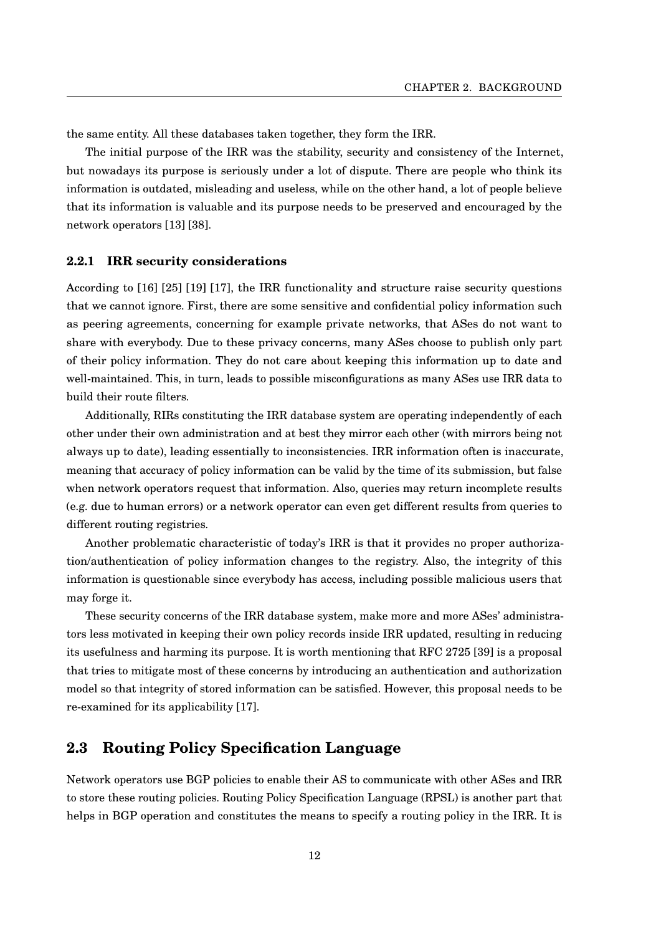the same entity. All these databases taken together, they form the IRR.

The initial purpose of the IRR was the stability, security and consistency of the Internet, but nowadays its purpose is seriously under a lot of dispute. There are people who think its information is outdated, misleading and useless, while on the other hand, a lot of people believe that its information is valuable and its purpose needs to be preserved and encouraged by the network operators [\[13\]](#page-44-2) [\[38\]](#page-45-13).

#### <span id="page-16-0"></span>**2.2.1 IRR security considerations**

According to [\[16\]](#page-44-5) [\[25\]](#page-45-0) [\[19\]](#page-44-8) [\[17\]](#page-44-6), the IRR functionality and structure raise security questions that we cannot ignore. First, there are some sensitive and confidential policy information such as peering agreements, concerning for example private networks, that ASes do not want to share with everybody. Due to these privacy concerns, many ASes choose to publish only part of their policy information. They do not care about keeping this information up to date and well-maintained. This, in turn, leads to possible misconfigurations as many ASes use IRR data to build their route filters.

Additionally, RIRs constituting the IRR database system are operating independently of each other under their own administration and at best they mirror each other (with mirrors being not always up to date), leading essentially to inconsistencies. IRR information often is inaccurate, meaning that accuracy of policy information can be valid by the time of its submission, but false when network operators request that information. Also, queries may return incomplete results (e.g. due to human errors) or a network operator can even get different results from queries to different routing registries.

Another problematic characteristic of today's IRR is that it provides no proper authorization/authentication of policy information changes to the registry. Also, the integrity of this information is questionable since everybody has access, including possible malicious users that may forge it.

These security concerns of the IRR database system, make more and more ASes' administrators less motivated in keeping their own policy records inside IRR updated, resulting in reducing its usefulness and harming its purpose. It is worth mentioning that RFC 2725 [\[39\]](#page-46-0) is a proposal that tries to mitigate most of these concerns by introducing an authentication and authorization model so that integrity of stored information can be satisfied. However, this proposal needs to be re-examined for its applicability [\[17\]](#page-44-6).

# <span id="page-16-1"></span>**2.3 Routing Policy Specification Language**

Network operators use BGP policies to enable their AS to communicate with other ASes and IRR to store these routing policies. Routing Policy Specification Language (RPSL) is another part that helps in BGP operation and constitutes the means to specify a routing policy in the IRR. It is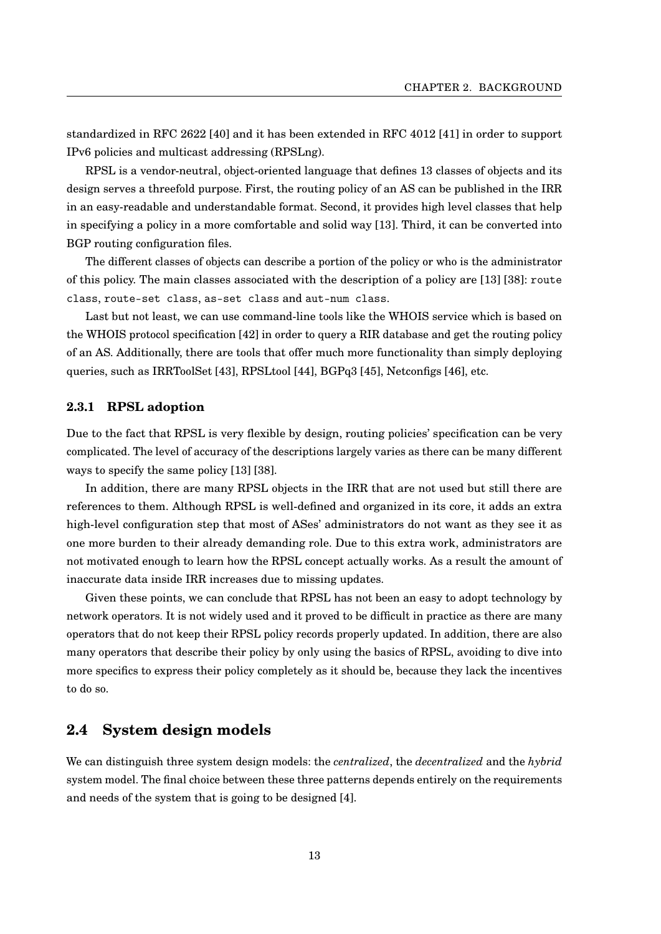standardized in RFC 2622 [\[40\]](#page-46-1) and it has been extended in RFC 4012 [\[41\]](#page-46-2) in order to support IPv6 policies and multicast addressing (RPSLng).

RPSL is a vendor-neutral, object-oriented language that defines 13 classes of objects and its design serves a threefold purpose. First, the routing policy of an AS can be published in the IRR in an easy-readable and understandable format. Second, it provides high level classes that help in specifying a policy in a more comfortable and solid way [\[13\]](#page-44-2). Third, it can be converted into BGP routing configuration files.

The different classes of objects can describe a portion of the policy or who is the administrator of this policy. The main classes associated with the description of a policy are [\[13\]](#page-44-2) [\[38\]](#page-45-13): route class, route-set class, as-set class and aut-num class.

Last but not least, we can use command-line tools like the WHOIS service which is based on the WHOIS protocol specification [\[42\]](#page-46-3) in order to query a RIR database and get the routing policy of an AS. Additionally, there are tools that offer much more functionality than simply deploying queries, such as IRRToolSet [\[43\]](#page-46-4), RPSLtool [\[44\]](#page-46-5), BGPq3 [\[45\]](#page-46-6), Netconfigs [\[46\]](#page-46-7), etc.

#### <span id="page-17-0"></span>**2.3.1 RPSL adoption**

Due to the fact that RPSL is very flexible by design, routing policies' specification can be very complicated. The level of accuracy of the descriptions largely varies as there can be many different ways to specify the same policy [\[13\]](#page-44-2) [\[38\]](#page-45-13).

In addition, there are many RPSL objects in the IRR that are not used but still there are references to them. Although RPSL is well-defined and organized in its core, it adds an extra high-level configuration step that most of ASes' administrators do not want as they see it as one more burden to their already demanding role. Due to this extra work, administrators are not motivated enough to learn how the RPSL concept actually works. As a result the amount of inaccurate data inside IRR increases due to missing updates.

Given these points, we can conclude that RPSL has not been an easy to adopt technology by network operators. It is not widely used and it proved to be difficult in practice as there are many operators that do not keep their RPSL policy records properly updated. In addition, there are also many operators that describe their policy by only using the basics of RPSL, avoiding to dive into more specifics to express their policy completely as it should be, because they lack the incentives to do so.

# <span id="page-17-1"></span>**2.4 System design models**

We can distinguish three system design models: the *centralized*, the *decentralized* and the *hybrid* system model. The final choice between these three patterns depends entirely on the requirements and needs of the system that is going to be designed [\[4\]](#page-43-3).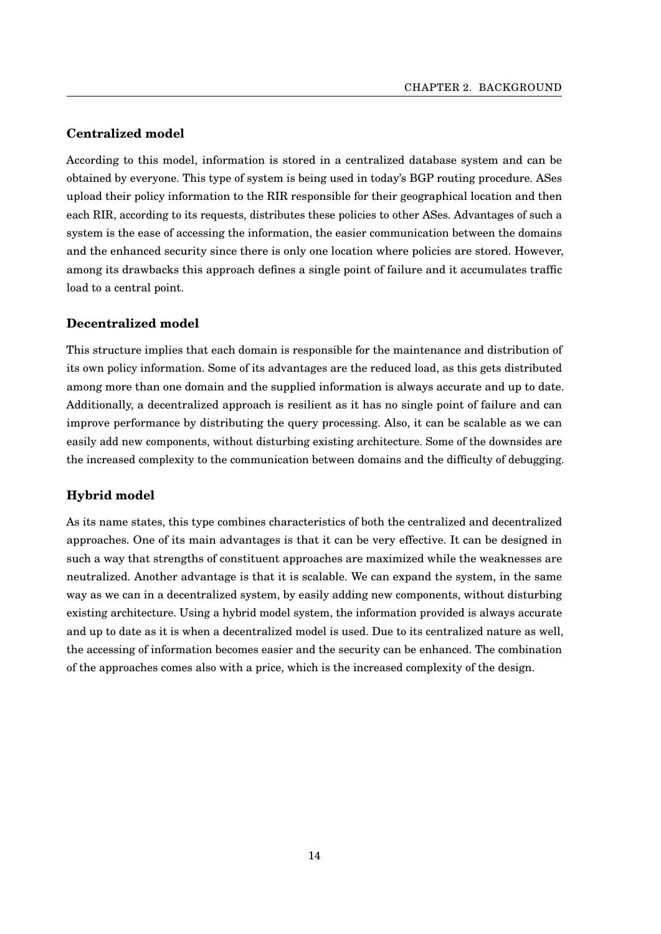### **Centralized model**

According to this model, information is stored in a centralized database system and can be obtained by everyone. This type of system is being used in today's BGP routing procedure. ASes upload their policy information to the RIR responsible for their geographical location and then each RIR, according to its requests, distributes these policies to other ASes. Advantages of such a system is the ease of accessing the information, the easier communication between the domains and the enhanced security since there is only one location where policies are stored. However, among its drawbacks this approach defines a single point of failure and it accumulates traffic load to a central point.

#### **Decentralized model**

This structure implies that each domain is responsible for the maintenance and distribution of its own policy information. Some of its advantages are the reduced load, as this gets distributed among more than one domain and the supplied information is always accurate and up to date. Additionally, a decentralized approach is resilient as it has no single point of failure and can improve performance by distributing the query processing. Also, it can be scalable as we can easily add new components, without disturbing existing architecture. Some of the downsides are the increased complexity to the communication between domains and the difficulty of debugging.

### **Hybrid model**

As its name states, this type combines characteristics of both the centralized and decentralized approaches. One of its main advantages is that it can be very effective. It can be designed in such a way that strengths of constituent approaches are maximized while the weaknesses are neutralized. Another advantage is that it is scalable. We can expand the system, in the same way as we can in a decentralized system, by easily adding new components, without disturbing existing architecture. Using a hybrid model system, the information provided is always accurate and up to date as it is when a decentralized model is used. Due to its centralized nature as well, the accessing of information becomes easier and the security can be enhanced. The combination of the approaches comes also with a price, which is the increased complexity of the design.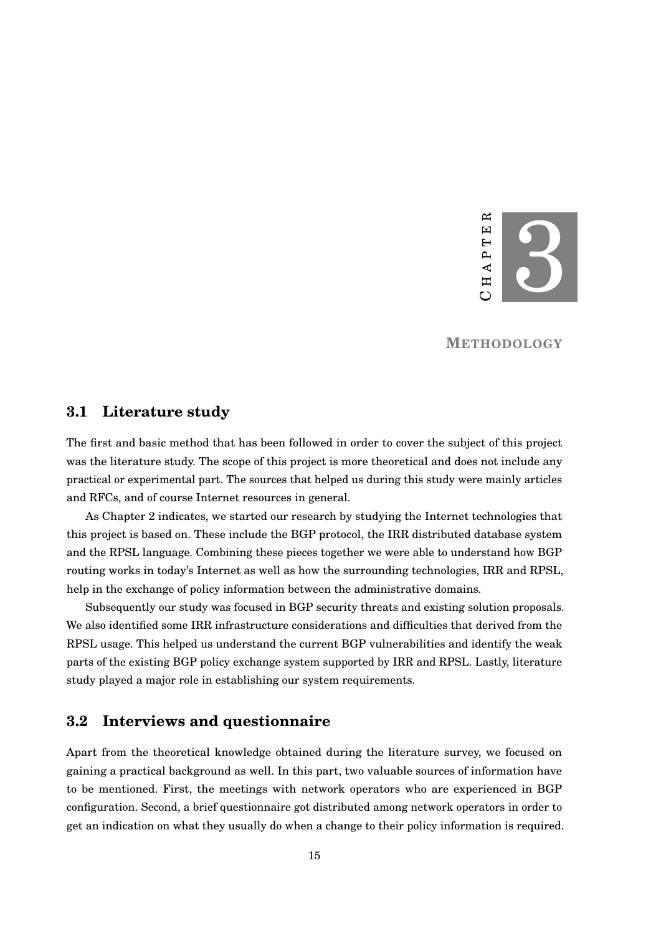

**METHODOLOGY**

## <span id="page-19-1"></span><span id="page-19-0"></span>**3.1 Literature study**

The first and basic method that has been followed in order to cover the subject of this project was the literature study. The scope of this project is more theoretical and does not include any practical or experimental part. The sources that helped us during this study were mainly articles and RFCs, and of course Internet resources in general.

As Chapter [2](#page-10-0) indicates, we started our research by studying the Internet technologies that this project is based on. These include the BGP protocol, the IRR distributed database system and the RPSL language. Combining these pieces together we were able to understand how BGP routing works in today's Internet as well as how the surrounding technologies, IRR and RPSL, help in the exchange of policy information between the administrative domains.

Subsequently our study was focused in BGP security threats and existing solution proposals. We also identified some IRR infrastructure considerations and difficulties that derived from the RPSL usage. This helped us understand the current BGP vulnerabilities and identify the weak parts of the existing BGP policy exchange system supported by IRR and RPSL. Lastly, literature study played a major role in establishing our system requirements.

# <span id="page-19-2"></span>**3.2 Interviews and questionnaire**

Apart from the theoretical knowledge obtained during the literature survey, we focused on gaining a practical background as well. In this part, two valuable sources of information have to be mentioned. First, the meetings with network operators who are experienced in BGP configuration. Second, a brief questionnaire got distributed among network operators in order to get an indication on what they usually do when a change to their policy information is required.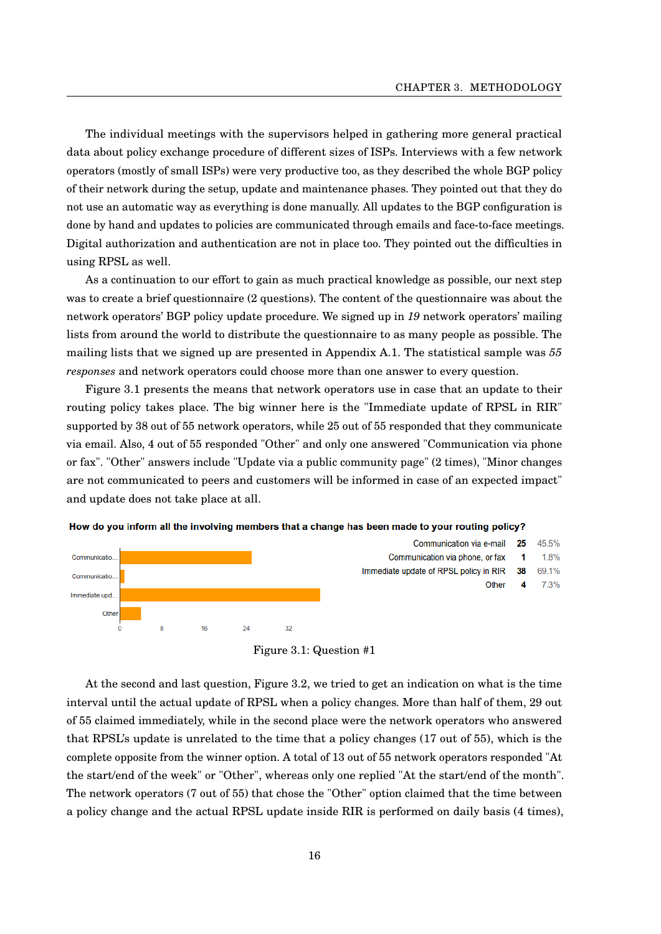The individual meetings with the supervisors helped in gathering more general practical data about policy exchange procedure of different sizes of ISPs. Interviews with a few network operators (mostly of small ISPs) were very productive too, as they described the whole BGP policy of their network during the setup, update and maintenance phases. They pointed out that they do not use an automatic way as everything is done manually. All updates to the BGP configuration is done by hand and updates to policies are communicated through emails and face-to-face meetings. Digital authorization and authentication are not in place too. They pointed out the difficulties in using RPSL as well.

As a continuation to our effort to gain as much practical knowledge as possible, our next step was to create a brief questionnaire (2 questions). The content of the questionnaire was about the network operators' BGP policy update procedure. We signed up in *19* network operators' mailing lists from around the world to distribute the questionnaire to as many people as possible. The mailing lists that we signed up are presented in Appendix [A.1.](#page-42-1) The statistical sample was *55 responses* and network operators could choose more than one answer to every question.

Figure [3.1](#page-20-0) presents the means that network operators use in case that an update to their routing policy takes place. The big winner here is the "Immediate update of RPSL in RIR" supported by 38 out of 55 network operators, while 25 out of 55 responded that they communicate via email. Also, 4 out of 55 responded "Other" and only one answered "Communication via phone or fax". "Other" answers include "Update via a public community page" (2 times), "Minor changes are not communicated to peers and customers will be informed in case of an expected impact" and update does not take place at all.

<span id="page-20-0"></span>



Figure 3.1: Question #1

At the second and last question, Figure [3.2,](#page-21-0) we tried to get an indication on what is the time interval until the actual update of RPSL when a policy changes. More than half of them, 29 out of 55 claimed immediately, while in the second place were the network operators who answered that RPSL's update is unrelated to the time that a policy changes (17 out of 55), which is the complete opposite from the winner option. A total of 13 out of 55 network operators responded "At the start/end of the week" or "Other", whereas only one replied "At the start/end of the month". The network operators (7 out of 55) that chose the "Other" option claimed that the time between a policy change and the actual RPSL update inside RIR is performed on daily basis (4 times),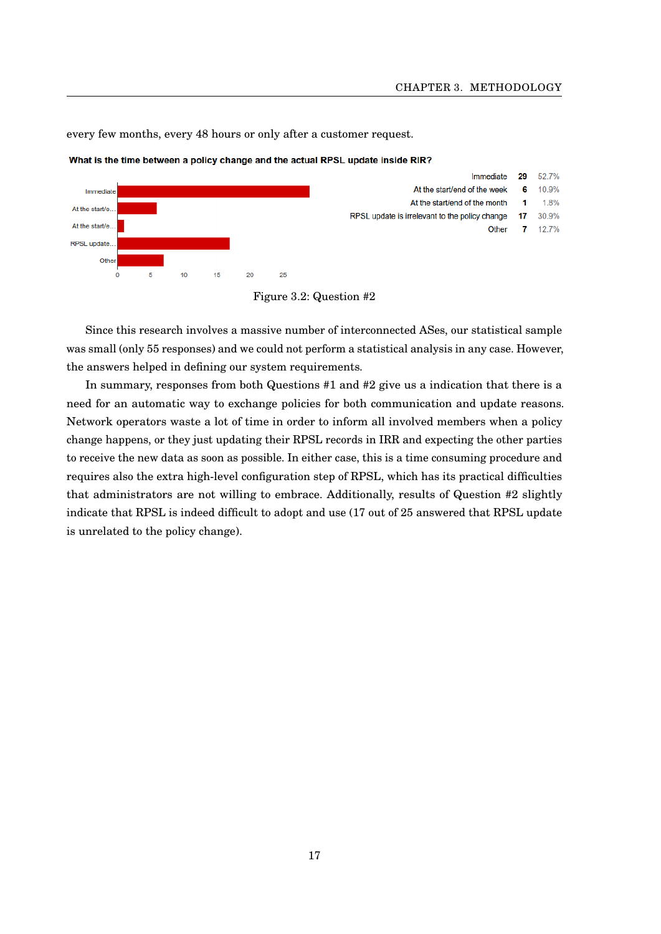every few months, every 48 hours or only after a customer request.

52.7% Immediate 29 At the start/end of the week **G** 10.9% Immediate At the start/end of the month 1 1.8% At the start/e. RPSL update is irrelevant to the policy change 17 30.9% At the start/e. Other 12.7%  $\overline{7}$ RPSL update. Othe  $\dot{\mathbf{o}}$  $\overline{5}$  $10$  $15$  $\overline{20}$  $25$ 

<span id="page-21-0"></span>What is the time between a policy change and the actual RPSL update inside RIR?

Since this research involves a massive number of interconnected ASes, our statistical sample was small (only 55 responses) and we could not perform a statistical analysis in any case. However, the answers helped in defining our system requirements.

In summary, responses from both Questions #1 and #2 give us a indication that there is a need for an automatic way to exchange policies for both communication and update reasons. Network operators waste a lot of time in order to inform all involved members when a policy change happens, or they just updating their RPSL records in IRR and expecting the other parties to receive the new data as soon as possible. In either case, this is a time consuming procedure and requires also the extra high-level configuration step of RPSL, which has its practical difficulties that administrators are not willing to embrace. Additionally, results of Question #2 slightly indicate that RPSL is indeed difficult to adopt and use (17 out of 25 answered that RPSL update is unrelated to the policy change).

Figure 3.2: Question #2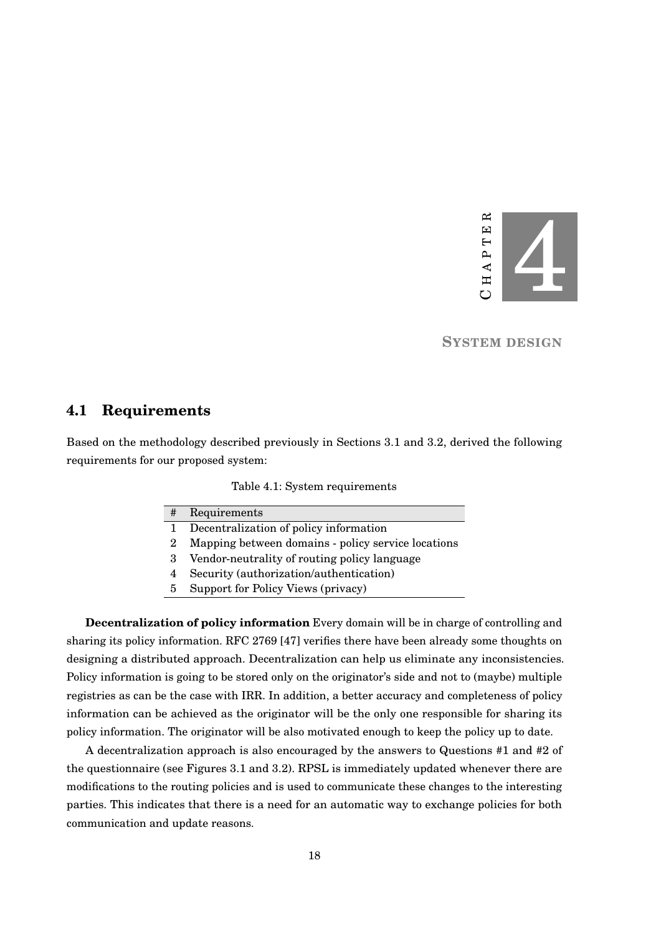

**SYSTEM DESIGN**

## <span id="page-22-1"></span><span id="page-22-0"></span>**4.1 Requirements**

<span id="page-22-2"></span>Based on the methodology described previously in Sections [3.1](#page-19-1) and [3.2,](#page-19-2) derived the following requirements for our proposed system:

#### Table 4.1: System requirements

| #  | Requirements                                       |
|----|----------------------------------------------------|
|    | Decentralization of policy information             |
|    | Mapping between domains - policy service locations |
| -3 | Vendor-neutrality of routing policy language       |

- 4 Security (authorization/authentication)
- 
- 5 Support for Policy Views (privacy)

**Decentralization of policy information** Every domain will be in charge of controlling and sharing its policy information. RFC 2769 [\[47\]](#page-46-8) verifies there have been already some thoughts on designing a distributed approach. Decentralization can help us eliminate any inconsistencies. Policy information is going to be stored only on the originator's side and not to (maybe) multiple registries as can be the case with IRR. In addition, a better accuracy and completeness of policy information can be achieved as the originator will be the only one responsible for sharing its policy information. The originator will be also motivated enough to keep the policy up to date.

A decentralization approach is also encouraged by the answers to Questions #1 and #2 of the questionnaire (see Figures [3.1](#page-20-0) and [3.2\)](#page-21-0). RPSL is immediately updated whenever there are modifications to the routing policies and is used to communicate these changes to the interesting parties. This indicates that there is a need for an automatic way to exchange policies for both communication and update reasons.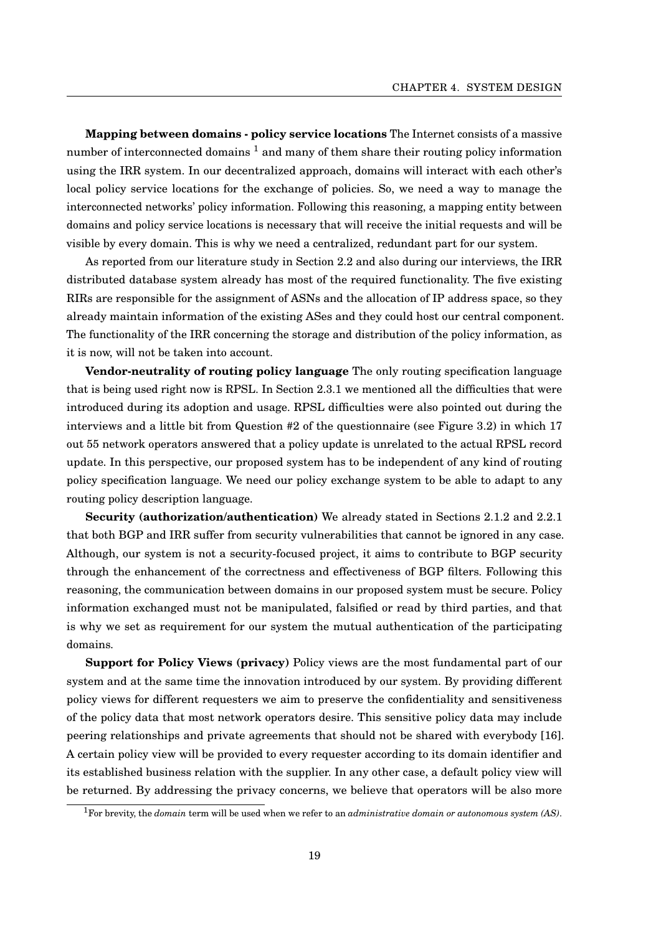**Mapping between domains - policy service locations** The Internet consists of a massive number of interconnected domains  $<sup>1</sup>$  $<sup>1</sup>$  $<sup>1</sup>$  and many of them share their routing policy information</sup> using the IRR system. In our decentralized approach, domains will interact with each other's local policy service locations for the exchange of policies. So, we need a way to manage the interconnected networks' policy information. Following this reasoning, a mapping entity between domains and policy service locations is necessary that will receive the initial requests and will be visible by every domain. This is why we need a centralized, redundant part for our system.

As reported from our literature study in Section [2.2](#page-15-0) and also during our interviews, the IRR distributed database system already has most of the required functionality. The five existing RIRs are responsible for the assignment of ASNs and the allocation of IP address space, so they already maintain information of the existing ASes and they could host our central component. The functionality of the IRR concerning the storage and distribution of the policy information, as it is now, will not be taken into account.

**Vendor-neutrality of routing policy language** The only routing specification language that is being used right now is RPSL. In Section [2.3.1](#page-17-0) we mentioned all the difficulties that were introduced during its adoption and usage. RPSL difficulties were also pointed out during the interviews and a little bit from Question #2 of the questionnaire (see Figure [3.2\)](#page-21-0) in which 17 out 55 network operators answered that a policy update is unrelated to the actual RPSL record update. In this perspective, our proposed system has to be independent of any kind of routing policy specification language. We need our policy exchange system to be able to adapt to any routing policy description language.

**Security (authorization/authentication)** We already stated in Sections [2.1.2](#page-13-0) and [2.2.1](#page-16-0) that both BGP and IRR suffer from security vulnerabilities that cannot be ignored in any case. Although, our system is not a security-focused project, it aims to contribute to BGP security through the enhancement of the correctness and effectiveness of BGP filters. Following this reasoning, the communication between domains in our proposed system must be secure. Policy information exchanged must not be manipulated, falsified or read by third parties, and that is why we set as requirement for our system the mutual authentication of the participating domains.

**Support for Policy Views (privacy)** Policy views are the most fundamental part of our system and at the same time the innovation introduced by our system. By providing different policy views for different requesters we aim to preserve the confidentiality and sensitiveness of the policy data that most network operators desire. This sensitive policy data may include peering relationships and private agreements that should not be shared with everybody [\[16\]](#page-44-5). A certain policy view will be provided to every requester according to its domain identifier and its established business relation with the supplier. In any other case, a default policy view will be returned. By addressing the privacy concerns, we believe that operators will be also more

<span id="page-23-0"></span><sup>1</sup>For brevity, the *domain* term will be used when we refer to an *administrative domain or autonomous system (AS)*.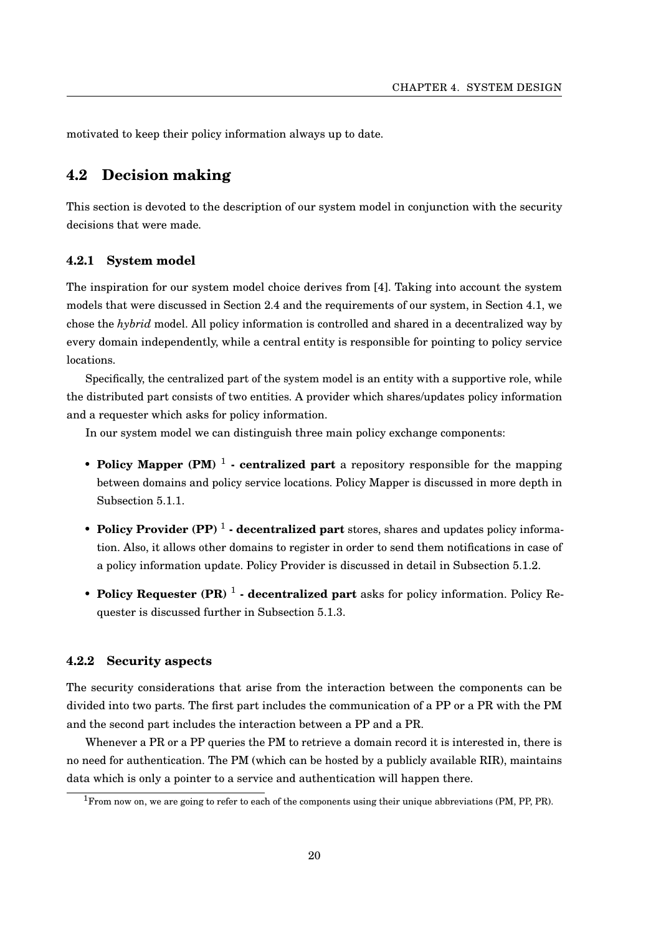motivated to keep their policy information always up to date.

# <span id="page-24-0"></span>**4.2 Decision making**

This section is devoted to the description of our system model in conjunction with the security decisions that were made.

#### <span id="page-24-1"></span>**4.2.1 System model**

The inspiration for our system model choice derives from [\[4\]](#page-43-3). Taking into account the system models that were discussed in Section [2.4](#page-17-1) and the requirements of our system, in Section [4.1,](#page-22-1) we chose the *hybrid* model. All policy information is controlled and shared in a decentralized way by every domain independently, while a central entity is responsible for pointing to policy service locations.

Specifically, the centralized part of the system model is an entity with a supportive role, while the distributed part consists of two entities. A provider which shares/updates policy information and a requester which asks for policy information.

In our system model we can distinguish three main policy exchange components:

- **Policy Mapper (PM)**<sup>1</sup> **centralized part** a repository responsible for the mapping between domains and policy service locations. Policy Mapper is discussed in more depth in Subsection [5.1.1.](#page-26-2)
- **Policy Provider (PP)** <sup>1</sup> decentralized part stores, shares and updates policy information. Also, it allows other domains to register in order to send them notifications in case of a policy information update. Policy Provider is discussed in detail in Subsection [5.1.2.](#page-27-0)
- Policy Requester (PR)<sup>1</sup> decentralized part asks for policy information. Policy Requester is discussed further in Subsection [5.1.3.](#page-28-0)

### <span id="page-24-2"></span>**4.2.2 Security aspects**

The security considerations that arise from the interaction between the components can be divided into two parts. The first part includes the communication of a PP or a PR with the PM and the second part includes the interaction between a PP and a PR.

Whenever a PR or a PP queries the PM to retrieve a domain record it is interested in, there is no need for authentication. The PM (which can be hosted by a publicly available RIR), maintains data which is only a pointer to a service and authentication will happen there.

<sup>1</sup>From now on, we are going to refer to each of the components using their unique abbreviations (PM, PP, PR).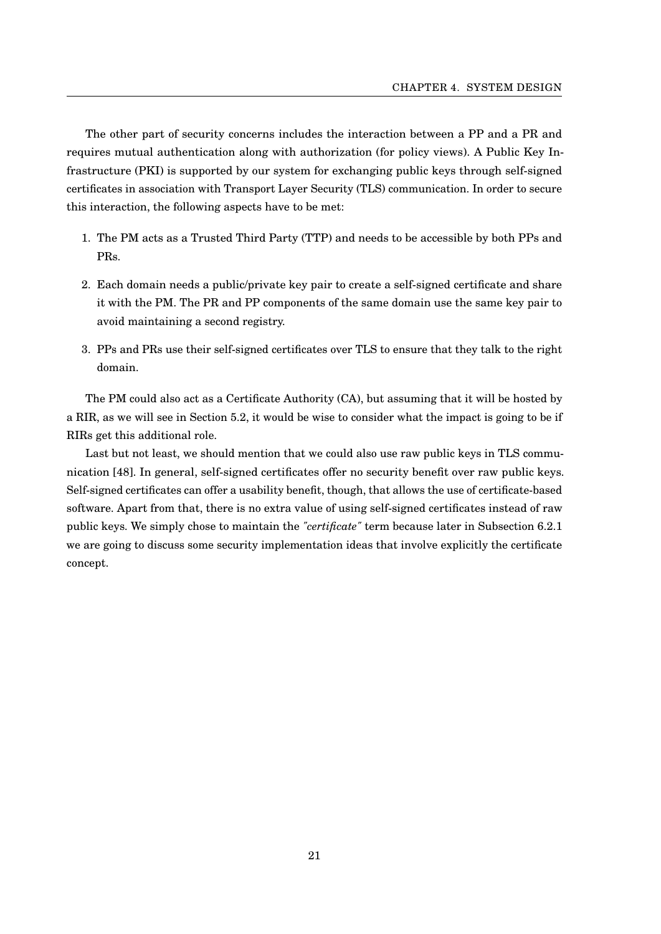The other part of security concerns includes the interaction between a PP and a PR and requires mutual authentication along with authorization (for policy views). A Public Key Infrastructure (PKI) is supported by our system for exchanging public keys through self-signed certificates in association with Transport Layer Security (TLS) communication. In order to secure this interaction, the following aspects have to be met:

- 1. The PM acts as a Trusted Third Party (TTP) and needs to be accessible by both PPs and PRs.
- 2. Each domain needs a public/private key pair to create a self-signed certificate and share it with the PM. The PR and PP components of the same domain use the same key pair to avoid maintaining a second registry.
- 3. PPs and PRs use their self-signed certificates over TLS to ensure that they talk to the right domain.

The PM could also act as a Certificate Authority (CA), but assuming that it will be hosted by a RIR, as we will see in Section [5.2,](#page-29-0) it would be wise to consider what the impact is going to be if RIRs get this additional role.

Last but not least, we should mention that we could also use raw public keys in TLS communication [\[48\]](#page-46-9). In general, self-signed certificates offer no security benefit over raw public keys. Self-signed certificates can offer a usability benefit, though, that allows the use of certificate-based software. Apart from that, there is no extra value of using self-signed certificates instead of raw public keys. We simply chose to maintain the *"certificate"* term because later in Subsection [6.2.1](#page-36-0) we are going to discuss some security implementation ideas that involve explicitly the certificate concept.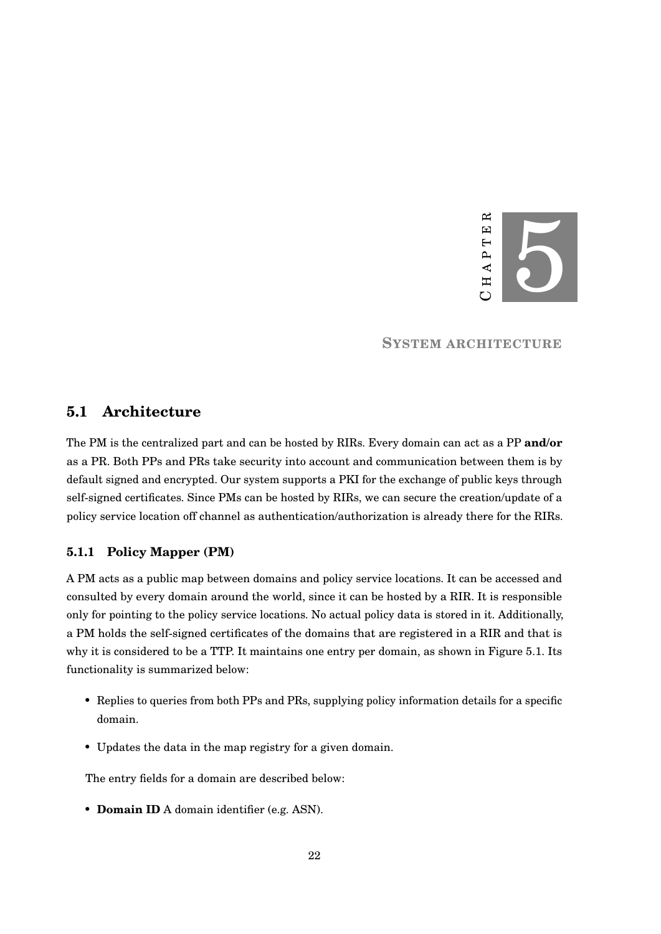

**SYSTEM ARCHITECTURE**

# <span id="page-26-1"></span><span id="page-26-0"></span>**5.1 Architecture**

The PM is the centralized part and can be hosted by RIRs. Every domain can act as a PP **and/or** as a PR. Both PPs and PRs take security into account and communication between them is by default signed and encrypted. Our system supports a PKI for the exchange of public keys through self-signed certificates. Since PMs can be hosted by RIRs, we can secure the creation/update of a policy service location off channel as authentication/authorization is already there for the RIRs.

### <span id="page-26-2"></span>**5.1.1 Policy Mapper (PM)**

A PM acts as a public map between domains and policy service locations. It can be accessed and consulted by every domain around the world, since it can be hosted by a RIR. It is responsible only for pointing to the policy service locations. No actual policy data is stored in it. Additionally, a PM holds the self-signed certificates of the domains that are registered in a RIR and that is why it is considered to be a TTP. It maintains one entry per domain, as shown in Figure [5.1.](#page-27-1) Its functionality is summarized below:

- Replies to queries from both PPs and PRs, supplying policy information details for a specific domain.
- Updates the data in the map registry for a given domain.

The entry fields for a domain are described below:

• **Domain ID** A domain identifier (e.g. ASN).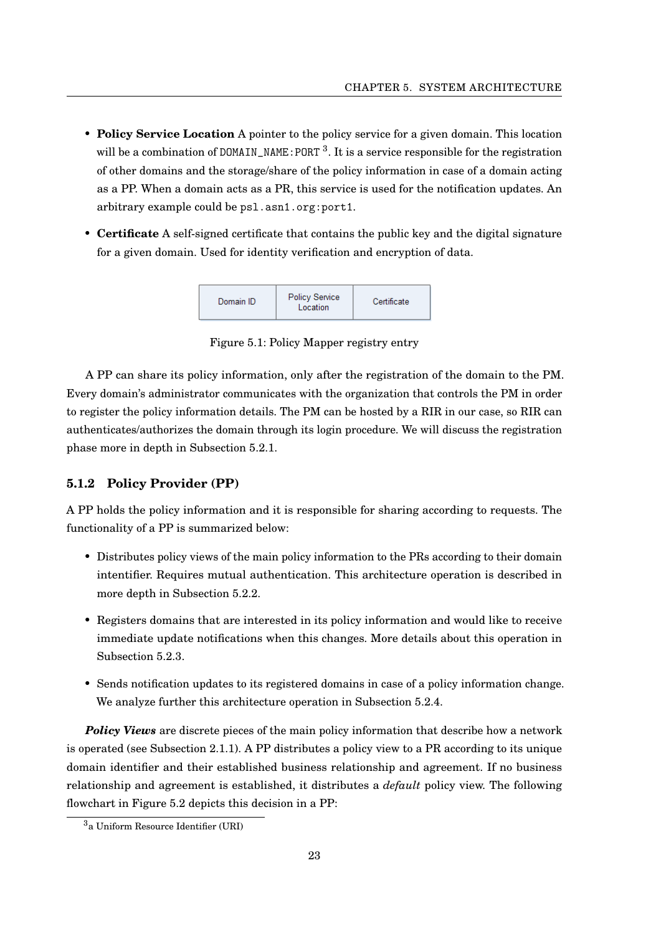- **Policy Service Location** A pointer to the policy service for a given domain. This location will be a combination of DOMAIN\_NAME: PORT  $^3$  $^3$ . It is a service responsible for the registration of other domains and the storage/share of the policy information in case of a domain acting as a PP. When a domain acts as a PR, this service is used for the notification updates. An arbitrary example could be psl.asn1.org:port1.
- <span id="page-27-1"></span>• **Certificate** A self-signed certificate that contains the public key and the digital signature for a given domain. Used for identity verification and encryption of data.



Figure 5.1: Policy Mapper registry entry

A PP can share its policy information, only after the registration of the domain to the PM. Every domain's administrator communicates with the organization that controls the PM in order to register the policy information details. The PM can be hosted by a RIR in our case, so RIR can authenticates/authorizes the domain through its login procedure. We will discuss the registration phase more in depth in Subsection [5.2.1.](#page-29-1)

### <span id="page-27-0"></span>**5.1.2 Policy Provider (PP)**

A PP holds the policy information and it is responsible for sharing according to requests. The functionality of a PP is summarized below:

- Distributes policy views of the main policy information to the PRs according to their domain intentifier. Requires mutual authentication. This architecture operation is described in more depth in Subsection [5.2.2.](#page-31-0)
- Registers domains that are interested in its policy information and would like to receive immediate update notifications when this changes. More details about this operation in Subsection [5.2.3.](#page-32-0)
- Sends notification updates to its registered domains in case of a policy information change. We analyze further this architecture operation in Subsection [5.2.4.](#page-33-0)

**Policy Views** are discrete pieces of the main policy information that describe how a network is operated (see Subsection [2.1.1\)](#page-11-0). A PP distributes a policy view to a PR according to its unique domain identifier and their established business relationship and agreement. If no business relationship and agreement is established, it distributes a *default* policy view. The following flowchart in Figure [5.2](#page-28-1) depicts this decision in a PP:

<span id="page-27-2"></span><sup>3</sup>a Uniform Resource Identifier (URI)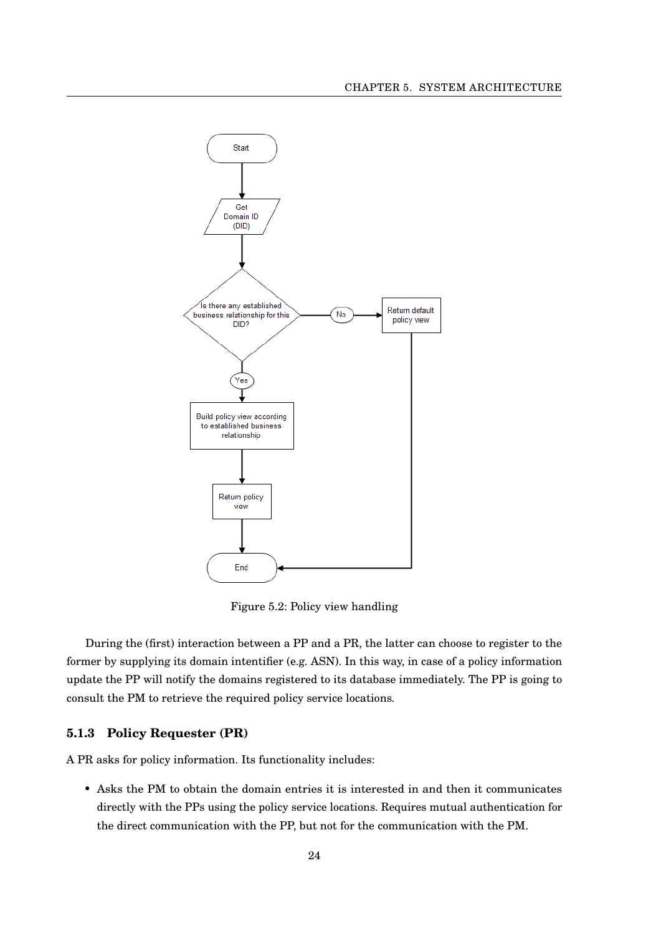<span id="page-28-1"></span>

Figure 5.2: Policy view handling

During the (first) interaction between a PP and a PR, the latter can choose to register to the former by supplying its domain intentifier (e.g. ASN). In this way, in case of a policy information update the PP will notify the domains registered to its database immediately. The PP is going to consult the PM to retrieve the required policy service locations.

# <span id="page-28-0"></span>**5.1.3 Policy Requester (PR)**

A PR asks for policy information. Its functionality includes:

• Asks the PM to obtain the domain entries it is interested in and then it communicates directly with the PPs using the policy service locations. Requires mutual authentication for the direct communication with the PP, but not for the communication with the PM.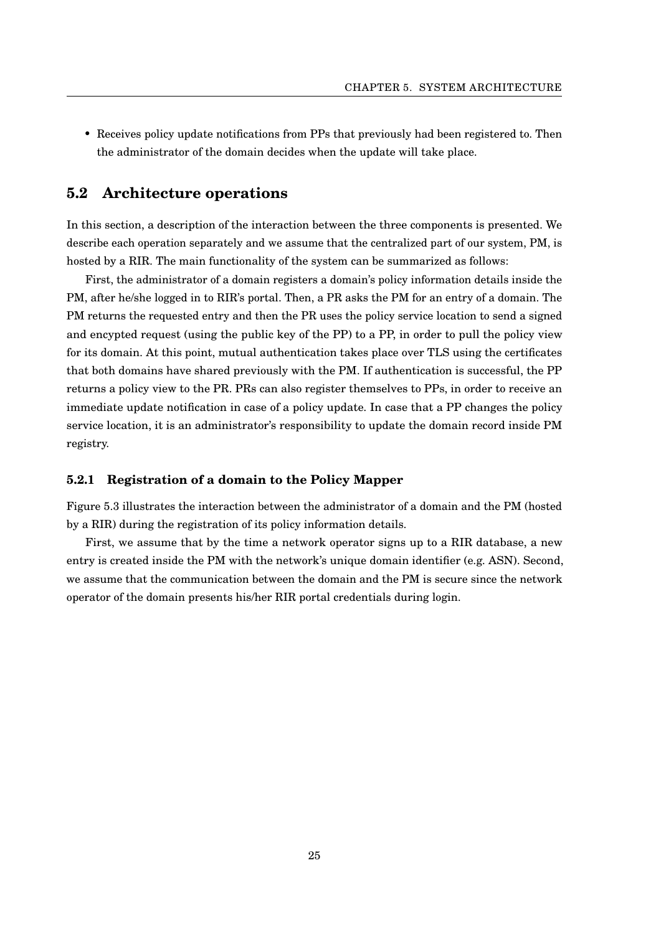• Receives policy update notifications from PPs that previously had been registered to. Then the administrator of the domain decides when the update will take place.

## <span id="page-29-0"></span>**5.2 Architecture operations**

In this section, a description of the interaction between the three components is presented. We describe each operation separately and we assume that the centralized part of our system, PM, is hosted by a RIR. The main functionality of the system can be summarized as follows:

First, the administrator of a domain registers a domain's policy information details inside the PM, after he/she logged in to RIR's portal. Then, a PR asks the PM for an entry of a domain. The PM returns the requested entry and then the PR uses the policy service location to send a signed and encypted request (using the public key of the PP) to a PP, in order to pull the policy view for its domain. At this point, mutual authentication takes place over TLS using the certificates that both domains have shared previously with the PM. If authentication is successful, the PP returns a policy view to the PR. PRs can also register themselves to PPs, in order to receive an immediate update notification in case of a policy update. In case that a PP changes the policy service location, it is an administrator's responsibility to update the domain record inside PM registry.

#### <span id="page-29-1"></span>**5.2.1 Registration of a domain to the Policy Mapper**

Figure [5.3](#page-30-0) illustrates the interaction between the administrator of a domain and the PM (hosted by a RIR) during the registration of its policy information details.

First, we assume that by the time a network operator signs up to a RIR database, a new entry is created inside the PM with the network's unique domain identifier (e.g. ASN). Second, we assume that the communication between the domain and the PM is secure since the network operator of the domain presents his/her RIR portal credentials during login.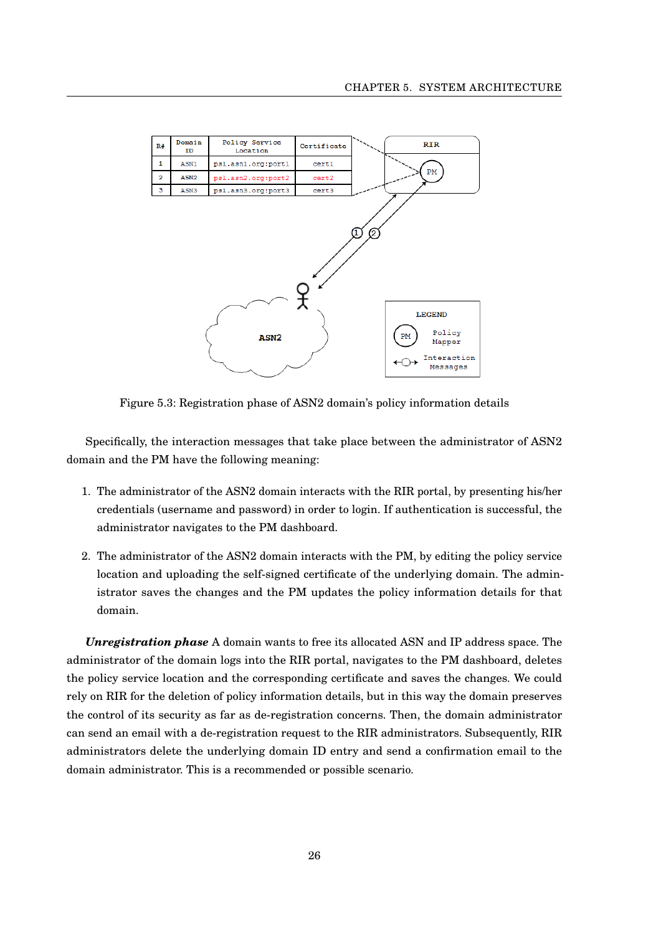<span id="page-30-0"></span>

| R#             | Domain<br>ID     | Policy Service<br>Location | Certificate | RIR                                                                     |
|----------------|------------------|----------------------------|-------------|-------------------------------------------------------------------------|
| $\mathbf{1}$   | ASN1             | psl.asn1.org:port1         | cert1       |                                                                         |
| $\overline{2}$ | ASN <sub>2</sub> | psl.asn2.org:port2         | cert2       | PM                                                                      |
| 3              | ASN3             | psl.asn3.org:port3         | cert3       |                                                                         |
|                |                  | ASN2                       |             | 2<br><b>LEGEND</b><br>Policy<br>PM<br>Mapper<br>Interaction<br>Messages |

Figure 5.3: Registration phase of ASN2 domain's policy information details

Specifically, the interaction messages that take place between the administrator of ASN2 domain and the PM have the following meaning:

- 1. The administrator of the ASN2 domain interacts with the RIR portal, by presenting his/her credentials (username and password) in order to login. If authentication is successful, the administrator navigates to the PM dashboard.
- 2. The administrator of the ASN2 domain interacts with the PM, by editing the policy service location and uploading the self-signed certificate of the underlying domain. The administrator saves the changes and the PM updates the policy information details for that domain.

*Unregistration phase* A domain wants to free its allocated ASN and IP address space. The administrator of the domain logs into the RIR portal, navigates to the PM dashboard, deletes the policy service location and the corresponding certificate and saves the changes. We could rely on RIR for the deletion of policy information details, but in this way the domain preserves the control of its security as far as de-registration concerns. Then, the domain administrator can send an email with a de-registration request to the RIR administrators. Subsequently, RIR administrators delete the underlying domain ID entry and send a confirmation email to the domain administrator. This is a recommended or possible scenario.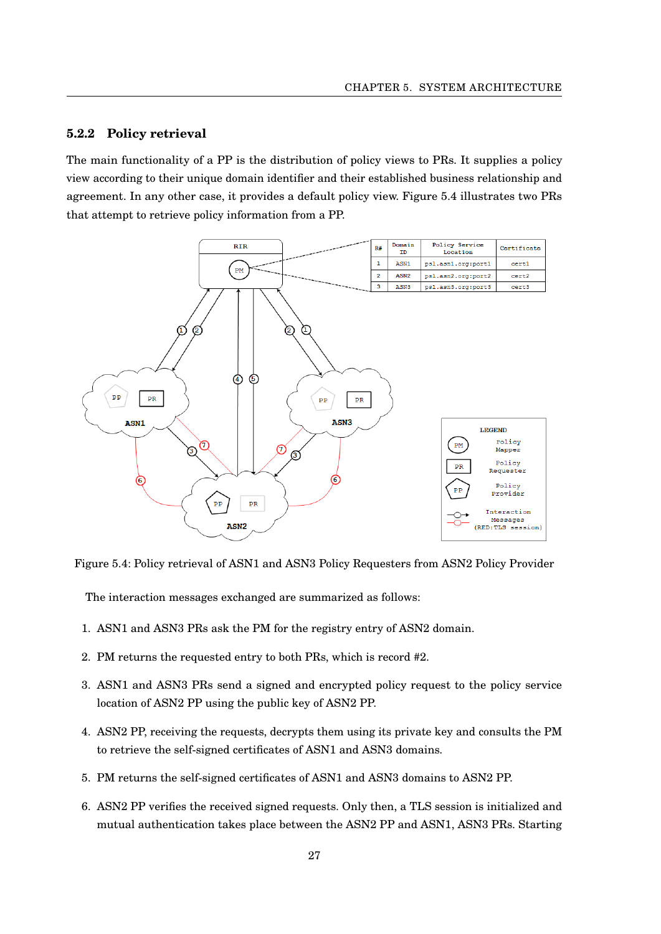#### <span id="page-31-0"></span>**5.2.2 Policy retrieval**

The main functionality of a PP is the distribution of policy views to PRs. It supplies a policy view according to their unique domain identifier and their established business relationship and agreement. In any other case, it provides a default policy view. Figure [5.4](#page-31-1) illustrates two PRs that attempt to retrieve policy information from a PP.

<span id="page-31-1"></span>

Figure 5.4: Policy retrieval of ASN1 and ASN3 Policy Requesters from ASN2 Policy Provider

The interaction messages exchanged are summarized as follows:

- 1. ASN1 and ASN3 PRs ask the PM for the registry entry of ASN2 domain.
- 2. PM returns the requested entry to both PRs, which is record #2.
- 3. ASN1 and ASN3 PRs send a signed and encrypted policy request to the policy service location of ASN2 PP using the public key of ASN2 PP.
- 4. ASN2 PP, receiving the requests, decrypts them using its private key and consults the PM to retrieve the self-signed certificates of ASN1 and ASN3 domains.
- 5. PM returns the self-signed certificates of ASN1 and ASN3 domains to ASN2 PP.
- 6. ASN2 PP verifies the received signed requests. Only then, a TLS session is initialized and mutual authentication takes place between the ASN2 PP and ASN1, ASN3 PRs. Starting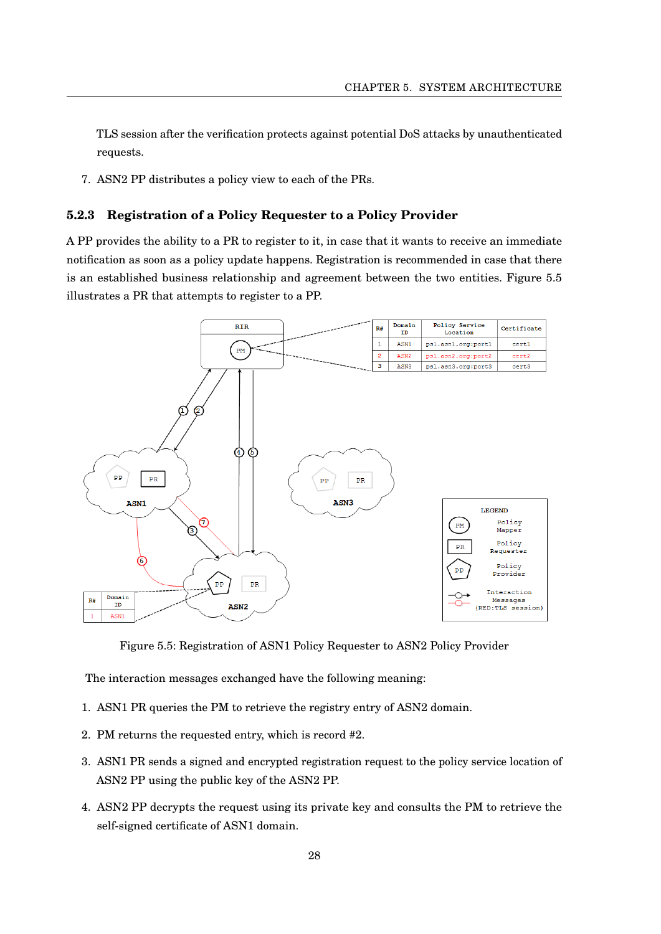TLS session after the verification protects against potential DoS attacks by unauthenticated requests.

7. ASN2 PP distributes a policy view to each of the PRs.

### <span id="page-32-0"></span>**5.2.3 Registration of a Policy Requester to a Policy Provider**

A PP provides the ability to a PR to register to it, in case that it wants to receive an immediate notification as soon as a policy update happens. Registration is recommended in case that there is an established business relationship and agreement between the two entities. Figure [5.5](#page-32-1) illustrates a PR that attempts to register to a PP.

<span id="page-32-1"></span>

Figure 5.5: Registration of ASN1 Policy Requester to ASN2 Policy Provider

The interaction messages exchanged have the following meaning:

- 1. ASN1 PR queries the PM to retrieve the registry entry of ASN2 domain.
- 2. PM returns the requested entry, which is record #2.
- 3. ASN1 PR sends a signed and encrypted registration request to the policy service location of ASN2 PP using the public key of the ASN2 PP.
- 4. ASN2 PP decrypts the request using its private key and consults the PM to retrieve the self-signed certificate of ASN1 domain.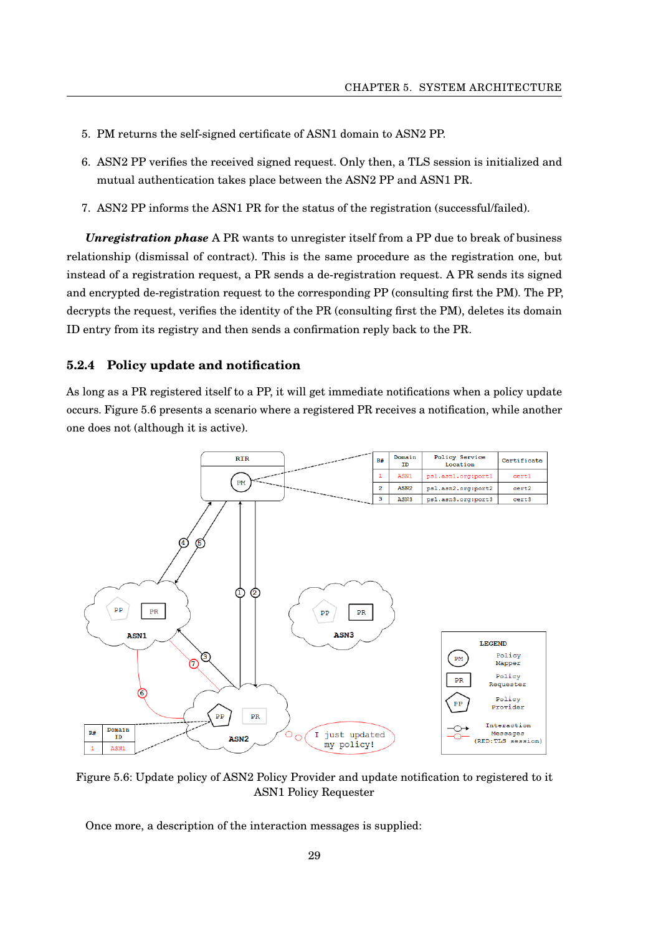- 5. PM returns the self-signed certificate of ASN1 domain to ASN2 PP.
- 6. ASN2 PP verifies the received signed request. Only then, a TLS session is initialized and mutual authentication takes place between the ASN2 PP and ASN1 PR.
- 7. ASN2 PP informs the ASN1 PR for the status of the registration (successful/failed).

*Unregistration phase* A PR wants to unregister itself from a PP due to break of business relationship (dismissal of contract). This is the same procedure as the registration one, but instead of a registration request, a PR sends a de-registration request. A PR sends its signed and encrypted de-registration request to the corresponding PP (consulting first the PM). The PP, decrypts the request, verifies the identity of the PR (consulting first the PM), deletes its domain ID entry from its registry and then sends a confirmation reply back to the PR.

### <span id="page-33-0"></span>**5.2.4 Policy update and notification**

As long as a PR registered itself to a PP, it will get immediate notifications when a policy update occurs. Figure [5.6](#page-33-1) presents a scenario where a registered PR receives a notification, while another one does not (although it is active).

<span id="page-33-1"></span>

Figure 5.6: Update policy of ASN2 Policy Provider and update notification to registered to it ASN1 Policy Requester

Once more, a description of the interaction messages is supplied: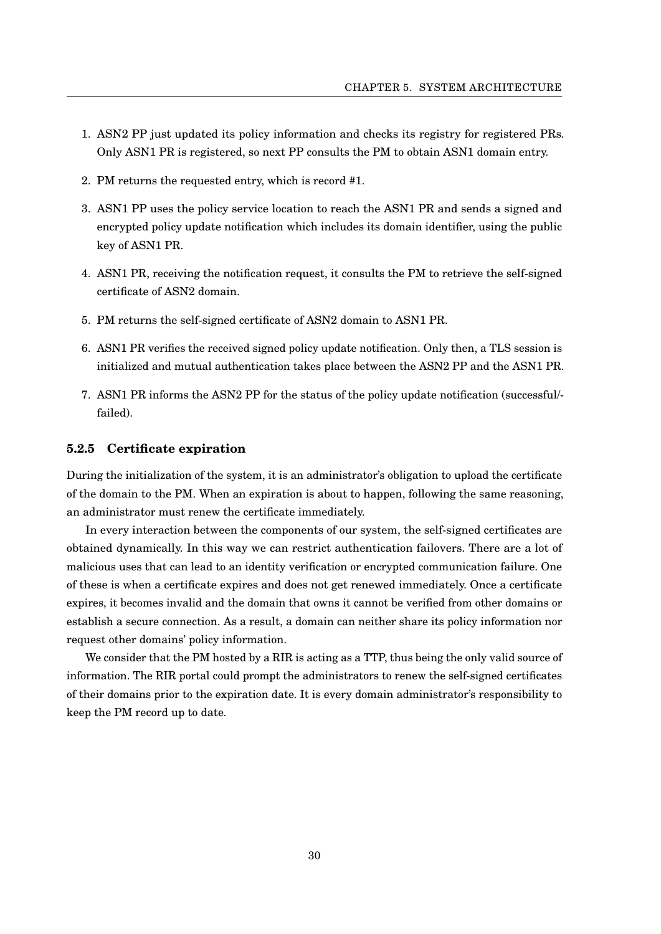- 1. ASN2 PP just updated its policy information and checks its registry for registered PRs. Only ASN1 PR is registered, so next PP consults the PM to obtain ASN1 domain entry.
- 2. PM returns the requested entry, which is record #1.
- 3. ASN1 PP uses the policy service location to reach the ASN1 PR and sends a signed and encrypted policy update notification which includes its domain identifier, using the public key of ASN1 PR.
- 4. ASN1 PR, receiving the notification request, it consults the PM to retrieve the self-signed certificate of ASN2 domain.
- 5. PM returns the self-signed certificate of ASN2 domain to ASN1 PR.
- 6. ASN1 PR verifies the received signed policy update notification. Only then, a TLS session is initialized and mutual authentication takes place between the ASN2 PP and the ASN1 PR.
- 7. ASN1 PR informs the ASN2 PP for the status of the policy update notification (successful/ failed).

#### <span id="page-34-0"></span>**5.2.5 Certificate expiration**

During the initialization of the system, it is an administrator's obligation to upload the certificate of the domain to the PM. When an expiration is about to happen, following the same reasoning, an administrator must renew the certificate immediately.

In every interaction between the components of our system, the self-signed certificates are obtained dynamically. In this way we can restrict authentication failovers. There are a lot of malicious uses that can lead to an identity verification or encrypted communication failure. One of these is when a certificate expires and does not get renewed immediately. Once a certificate expires, it becomes invalid and the domain that owns it cannot be verified from other domains or establish a secure connection. As a result, a domain can neither share its policy information nor request other domains' policy information.

We consider that the PM hosted by a RIR is acting as a TTP, thus being the only valid source of information. The RIR portal could prompt the administrators to renew the self-signed certificates of their domains prior to the expiration date. It is every domain administrator's responsibility to keep the PM record up to date.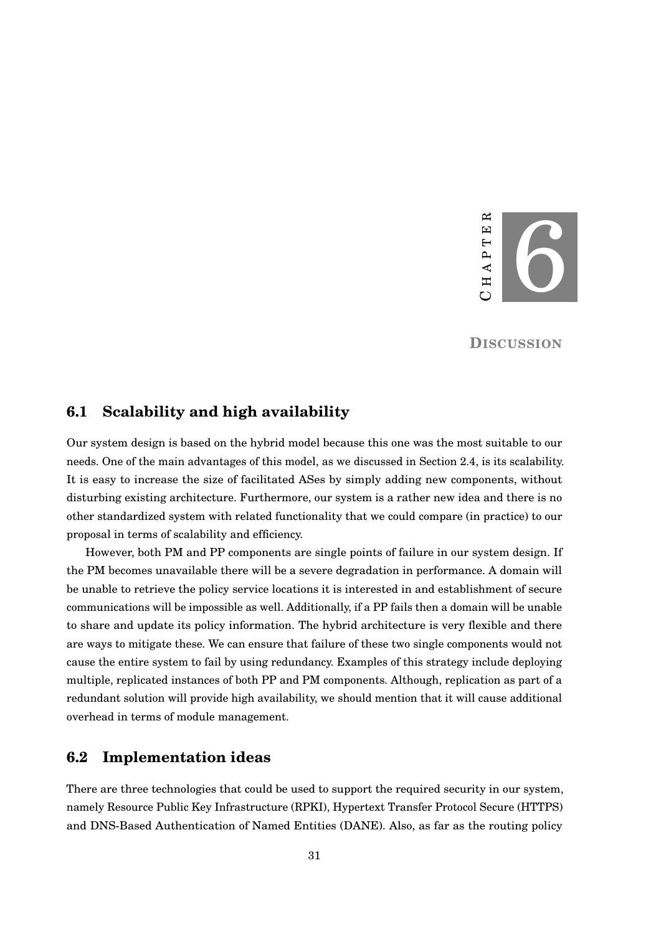

**DISCUSSION**

### <span id="page-35-1"></span><span id="page-35-0"></span>**6.1 Scalability and high availability**

Our system design is based on the hybrid model because this one was the most suitable to our needs. One of the main advantages of this model, as we discussed in Section [2.4,](#page-17-1) is its scalability. It is easy to increase the size of facilitated ASes by simply adding new components, without disturbing existing architecture. Furthermore, our system is a rather new idea and there is no other standardized system with related functionality that we could compare (in practice) to our proposal in terms of scalability and efficiency.

However, both PM and PP components are single points of failure in our system design. If the PM becomes unavailable there will be a severe degradation in performance. A domain will be unable to retrieve the policy service locations it is interested in and establishment of secure communications will be impossible as well. Additionally, if a PP fails then a domain will be unable to share and update its policy information. The hybrid architecture is very flexible and there are ways to mitigate these. We can ensure that failure of these two single components would not cause the entire system to fail by using redundancy. Examples of this strategy include deploying multiple, replicated instances of both PP and PM components. Although, replication as part of a redundant solution will provide high availability, we should mention that it will cause additional overhead in terms of module management.

# <span id="page-35-2"></span>**6.2 Implementation ideas**

There are three technologies that could be used to support the required security in our system, namely Resource Public Key Infrastructure (RPKI), Hypertext Transfer Protocol Secure (HTTPS) and DNS-Based Authentication of Named Entities (DANE). Also, as far as the routing policy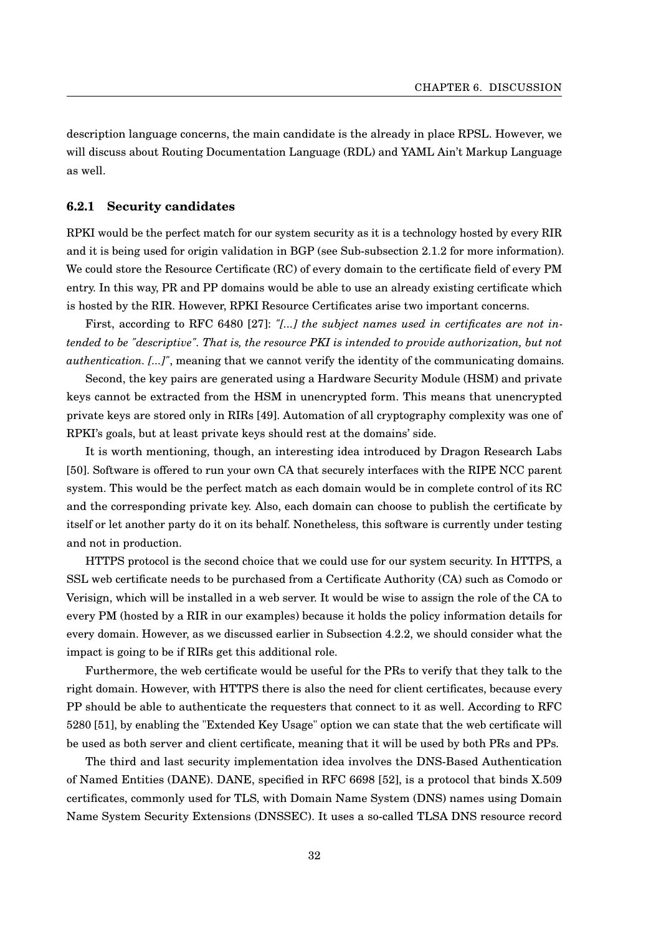description language concerns, the main candidate is the already in place RPSL. However, we will discuss about Routing Documentation Language (RDL) and YAML Ain't Markup Language as well.

### <span id="page-36-0"></span>**6.2.1 Security candidates**

RPKI would be the perfect match for our system security as it is a technology hosted by every RIR and it is being used for origin validation in BGP (see Sub-subsection [2.1.2](#page-14-0) for more information). We could store the Resource Certificate (RC) of every domain to the certificate field of every PM entry. In this way, PR and PP domains would be able to use an already existing certificate which is hosted by the RIR. However, RPKI Resource Certificates arise two important concerns.

First, according to RFC 6480 [\[27\]](#page-45-2): "[...] the subject names used in certificates are not in*tended to be "descriptive". That is, the resource PKI is intended to provide authorization, but not authentication. [...]"*, meaning that we cannot verify the identity of the communicating domains.

Second, the key pairs are generated using a Hardware Security Module (HSM) and private keys cannot be extracted from the HSM in unencrypted form. This means that unencrypted private keys are stored only in RIRs [\[49\]](#page-46-10). Automation of all cryptography complexity was one of RPKI's goals, but at least private keys should rest at the domains' side.

It is worth mentioning, though, an interesting idea introduced by Dragon Research Labs [\[50\]](#page-46-11). Software is offered to run your own CA that securely interfaces with the RIPE NCC parent system. This would be the perfect match as each domain would be in complete control of its RC and the corresponding private key. Also, each domain can choose to publish the certificate by itself or let another party do it on its behalf. Nonetheless, this software is currently under testing and not in production.

HTTPS protocol is the second choice that we could use for our system security. In HTTPS, a SSL web certificate needs to be purchased from a Certificate Authority (CA) such as Comodo or Verisign, which will be installed in a web server. It would be wise to assign the role of the CA to every PM (hosted by a RIR in our examples) because it holds the policy information details for every domain. However, as we discussed earlier in Subsection [4.2.2,](#page-24-2) we should consider what the impact is going to be if RIRs get this additional role.

Furthermore, the web certificate would be useful for the PRs to verify that they talk to the right domain. However, with HTTPS there is also the need for client certificates, because every PP should be able to authenticate the requesters that connect to it as well. According to RFC 5280 [\[51\]](#page-46-12), by enabling the "Extended Key Usage" option we can state that the web certificate will be used as both server and client certificate, meaning that it will be used by both PRs and PPs.

The third and last security implementation idea involves the DNS-Based Authentication of Named Entities (DANE). DANE, specified in RFC 6698 [\[52\]](#page-46-13), is a protocol that binds X.509 certificates, commonly used for TLS, with Domain Name System (DNS) names using Domain Name System Security Extensions (DNSSEC). It uses a so-called TLSA DNS resource record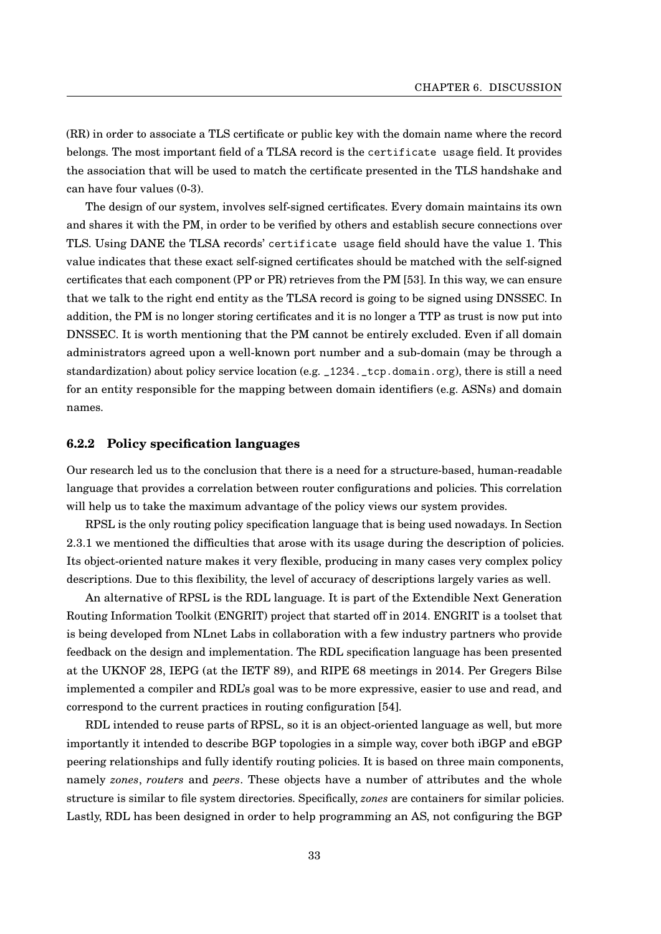(RR) in order to associate a TLS certificate or public key with the domain name where the record belongs. The most important field of a TLSA record is the certificate usage field. It provides the association that will be used to match the certificate presented in the TLS handshake and can have four values (0-3).

The design of our system, involves self-signed certificates. Every domain maintains its own and shares it with the PM, in order to be verified by others and establish secure connections over TLS. Using DANE the TLSA records' certificate usage field should have the value 1. This value indicates that these exact self-signed certificates should be matched with the self-signed certificates that each component (PP or PR) retrieves from the PM [\[53\]](#page-47-0). In this way, we can ensure that we talk to the right end entity as the TLSA record is going to be signed using DNSSEC. In addition, the PM is no longer storing certificates and it is no longer a TTP as trust is now put into DNSSEC. It is worth mentioning that the PM cannot be entirely excluded. Even if all domain administrators agreed upon a well-known port number and a sub-domain (may be through a standardization) about policy service location (e.g. \_1234.\_tcp.domain.org), there is still a need for an entity responsible for the mapping between domain identifiers (e.g. ASNs) and domain names.

#### <span id="page-37-0"></span>**6.2.2 Policy specification languages**

Our research led us to the conclusion that there is a need for a structure-based, human-readable language that provides a correlation between router configurations and policies. This correlation will help us to take the maximum advantage of the policy views our system provides.

RPSL is the only routing policy specification language that is being used nowadays. In Section [2.3.1](#page-17-0) we mentioned the difficulties that arose with its usage during the description of policies. Its object-oriented nature makes it very flexible, producing in many cases very complex policy descriptions. Due to this flexibility, the level of accuracy of descriptions largely varies as well.

An alternative of RPSL is the RDL language. It is part of the Extendible Next Generation Routing Information Toolkit (ENGRIT) project that started off in 2014. ENGRIT is a toolset that is being developed from NLnet Labs in collaboration with a few industry partners who provide feedback on the design and implementation. The RDL specification language has been presented at the UKNOF 28, IEPG (at the IETF 89), and RIPE 68 meetings in 2014. Per Gregers Bilse implemented a compiler and RDL's goal was to be more expressive, easier to use and read, and correspond to the current practices in routing configuration [\[54\]](#page-47-1).

RDL intended to reuse parts of RPSL, so it is an object-oriented language as well, but more importantly it intended to describe BGP topologies in a simple way, cover both iBGP and eBGP peering relationships and fully identify routing policies. It is based on three main components, namely *zones*, *routers* and *peers*. These objects have a number of attributes and the whole structure is similar to file system directories. Specifically, *zones* are containers for similar policies. Lastly, RDL has been designed in order to help programming an AS, not configuring the BGP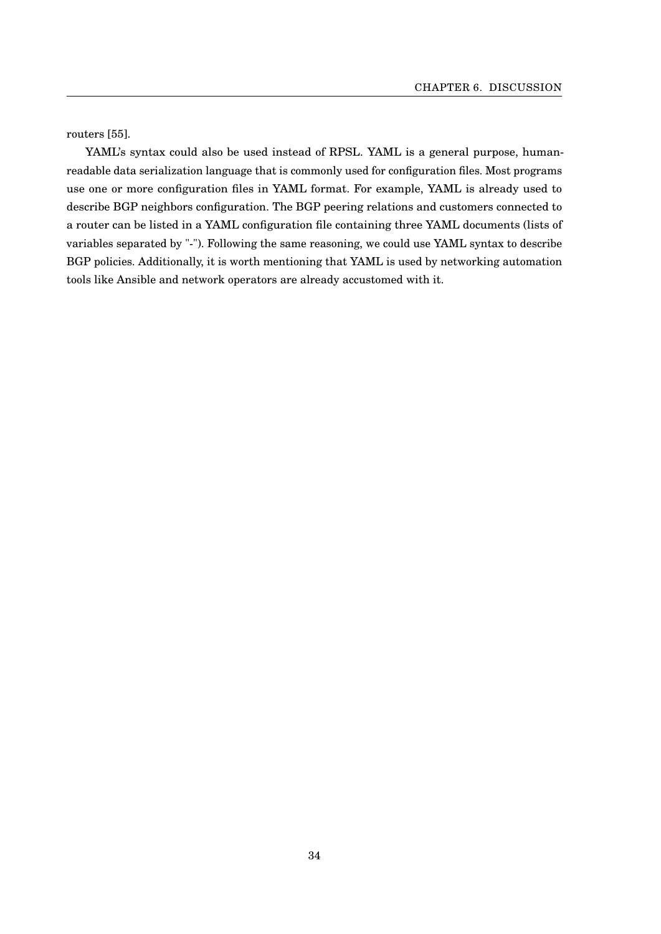routers [\[55\]](#page-47-2).

YAML's syntax could also be used instead of RPSL. YAML is a general purpose, humanreadable data serialization language that is commonly used for configuration files. Most programs use one or more configuration files in YAML format. For example, YAML is already used to describe BGP neighbors configuration. The BGP peering relations and customers connected to a router can be listed in a YAML configuration file containing three YAML documents (lists of variables separated by "-"). Following the same reasoning, we could use YAML syntax to describe BGP policies. Additionally, it is worth mentioning that YAML is used by networking automation tools like Ansible and network operators are already accustomed with it.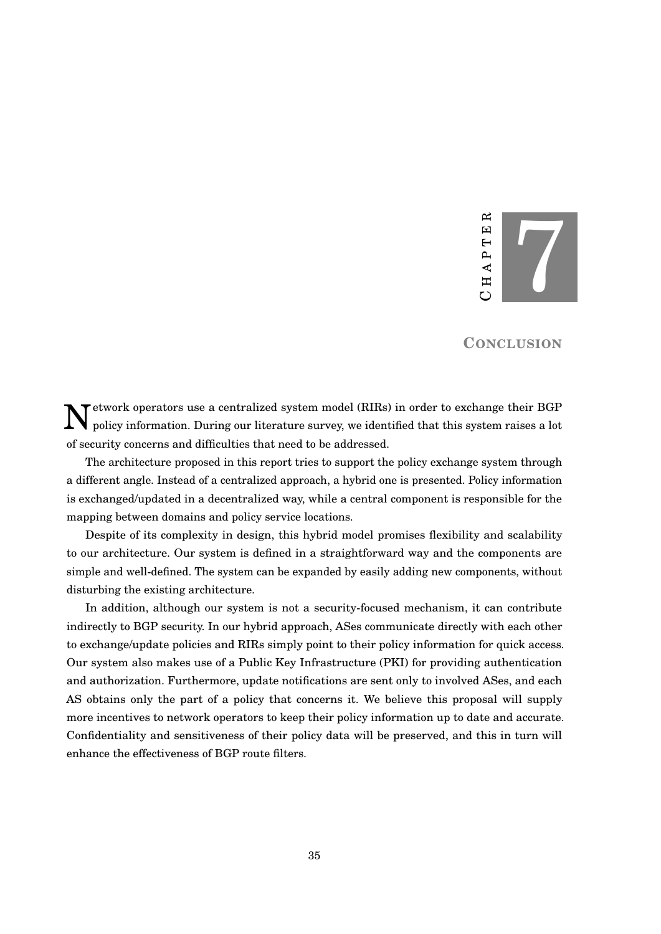#### 7 R  $CH A PT E R$  $\boxed{1}$  $\overline{a}$ A<sub>P</sub> Η  $\mathbf C$

### **CONCLUSION**

<span id="page-39-0"></span> $\mathbf N$ etwork operators use a centralized system model (RIRs) in order to exchange their BGP<br>policy information. During our literature survey, we identified that this system raises a lot policy information. During our literature survey, we identified that this system raises a lot of security concerns and difficulties that need to be addressed.

The architecture proposed in this report tries to support the policy exchange system through a different angle. Instead of a centralized approach, a hybrid one is presented. Policy information is exchanged/updated in a decentralized way, while a central component is responsible for the mapping between domains and policy service locations.

Despite of its complexity in design, this hybrid model promises flexibility and scalability to our architecture. Our system is defined in a straightforward way and the components are simple and well-defined. The system can be expanded by easily adding new components, without disturbing the existing architecture.

In addition, although our system is not a security-focused mechanism, it can contribute indirectly to BGP security. In our hybrid approach, ASes communicate directly with each other to exchange/update policies and RIRs simply point to their policy information for quick access. Our system also makes use of a Public Key Infrastructure (PKI) for providing authentication and authorization. Furthermore, update notifications are sent only to involved ASes, and each AS obtains only the part of a policy that concerns it. We believe this proposal will supply more incentives to network operators to keep their policy information up to date and accurate. Confidentiality and sensitiveness of their policy data will be preserved, and this in turn will enhance the effectiveness of BGP route filters.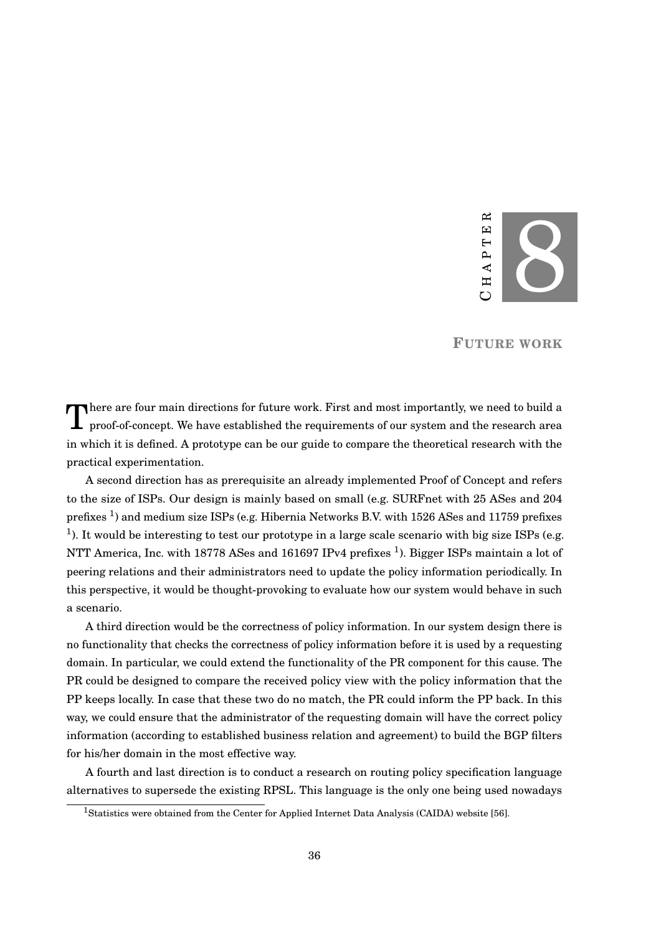

**FUTURE WORK**

<span id="page-40-0"></span>There are four main directions for future work. First and most importantly, we need to build a proof-of-concept. We have established the requirements of our system and the research area There are four main directions for future work. First and most importantly, we need to build a in which it is defined. A prototype can be our guide to compare the theoretical research with the practical experimentation.

A second direction has as prerequisite an already implemented Proof of Concept and refers to the size of ISPs. Our design is mainly based on small (e.g. SURFnet with 25 ASes and 204 prefixes <sup>[1](#page-40-1)</sup>) and medium size ISPs (e.g. Hibernia Networks B.V. with 1526 ASes and 11759 prefixes <sup>1</sup>). It would be interesting to test our prototype in a large scale scenario with big size ISPs (e.g. NTT America, Inc. with 18778 ASes and 161697 IPv4 prefixes  $^1$ ). Bigger ISPs maintain a lot of peering relations and their administrators need to update the policy information periodically. In this perspective, it would be thought-provoking to evaluate how our system would behave in such a scenario.

A third direction would be the correctness of policy information. In our system design there is no functionality that checks the correctness of policy information before it is used by a requesting domain. In particular, we could extend the functionality of the PR component for this cause. The PR could be designed to compare the received policy view with the policy information that the PP keeps locally. In case that these two do no match, the PR could inform the PP back. In this way, we could ensure that the administrator of the requesting domain will have the correct policy information (according to established business relation and agreement) to build the BGP filters for his/her domain in the most effective way.

A fourth and last direction is to conduct a research on routing policy specification language alternatives to supersede the existing RPSL. This language is the only one being used nowadays

<span id="page-40-1"></span><sup>1</sup>Statistics were obtained from the Center for Applied Internet Data Analysis (CAIDA) website [\[56\]](#page-47-3).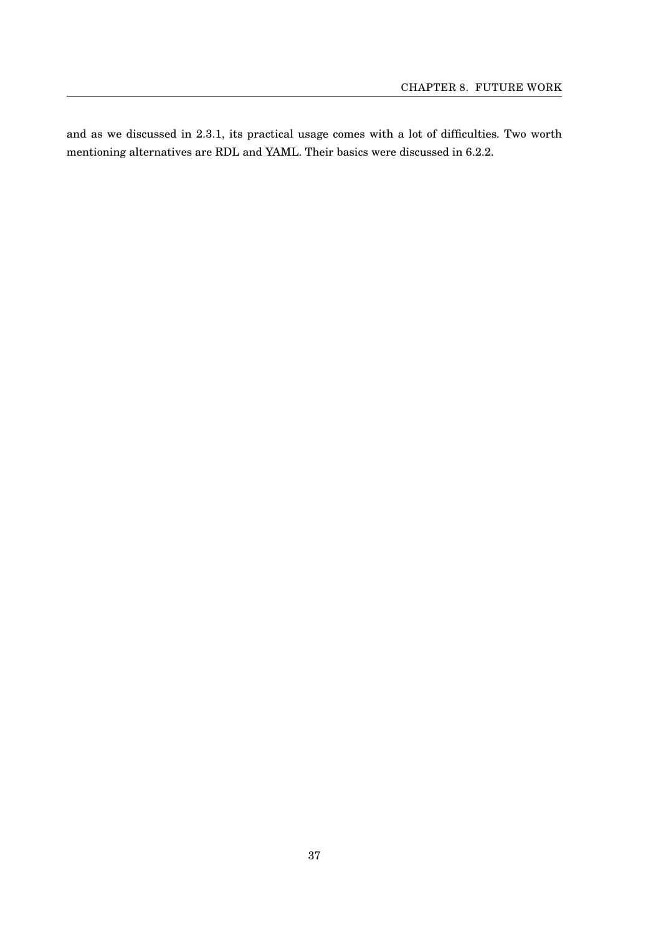and as we discussed in [2.3.1,](#page-17-0) its practical usage comes with a lot of difficulties. Two worth mentioning alternatives are RDL and YAML. Their basics were discussed in [6.2.2.](#page-37-0)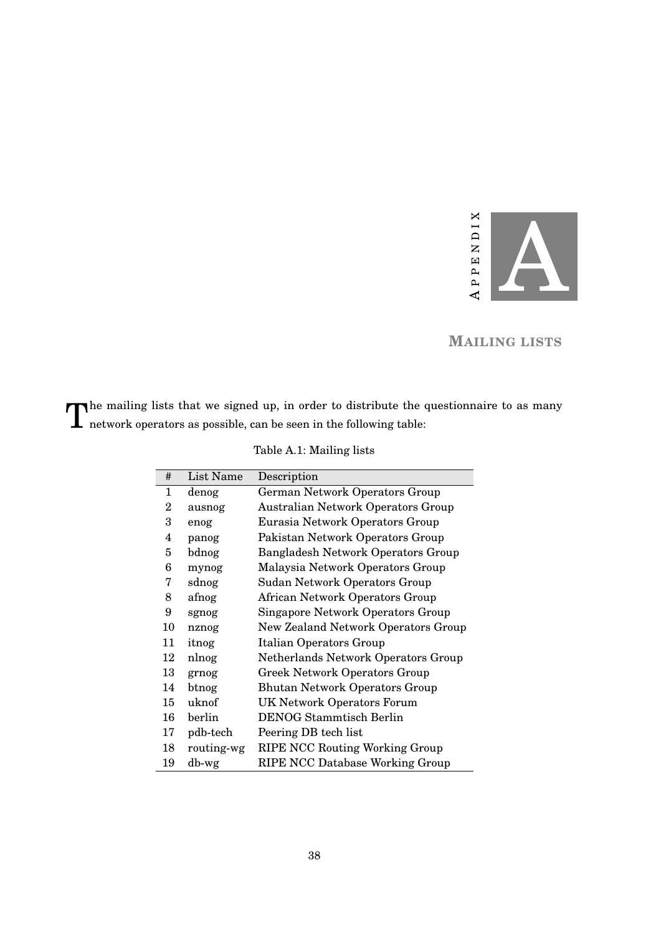

# **MAILING LISTS**

<span id="page-42-1"></span><span id="page-42-0"></span>The mailing lists that we signed up, in order to distribute the metabor operators as possible, can be seen in the following table: The mailing lists that we signed up, in order to distribute the questionnaire to as many

| #                       | List Name  | Description                               |
|-------------------------|------------|-------------------------------------------|
| 1                       | denog      | German Network Operators Group            |
| 2                       | ausnog     | <b>Australian Network Operators Group</b> |
| 3                       | enog       | Eurasia Network Operators Group           |
| $\overline{\mathbf{4}}$ | panog      | Pakistan Network Operators Group          |
| 5                       | bdnog      | <b>Bangladesh Network Operators Group</b> |
| 6                       | mynog      | Malaysia Network Operators Group          |
| 7                       | sdnog      | Sudan Network Operators Group             |
| 8                       | afnog      | African Network Operators Group           |
| 9                       | sgnog      | Singapore Network Operators Group         |
| 10                      | nznog      | New Zealand Network Operators Group       |
| 11                      | itnog      | <b>Italian Operators Group</b>            |
| 12                      | nlnog      | Netherlands Network Operators Group       |
| 13                      | grnog      | <b>Greek Network Operators Group</b>      |
| 14                      | btnog      | <b>Bhutan Network Operators Group</b>     |
| 15                      | uknof      | <b>UK Network Operators Forum</b>         |
| 16                      | berlin     | <b>DENOG Stammtisch Berlin</b>            |
| 17                      | pdb-tech   | Peering DB tech list                      |
| 18                      | routing-wg | <b>RIPE NCC Routing Working Group</b>     |
| 19                      | db-wg      | <b>RIPE NCC Database Working Group</b>    |

Table A.1: Mailing lists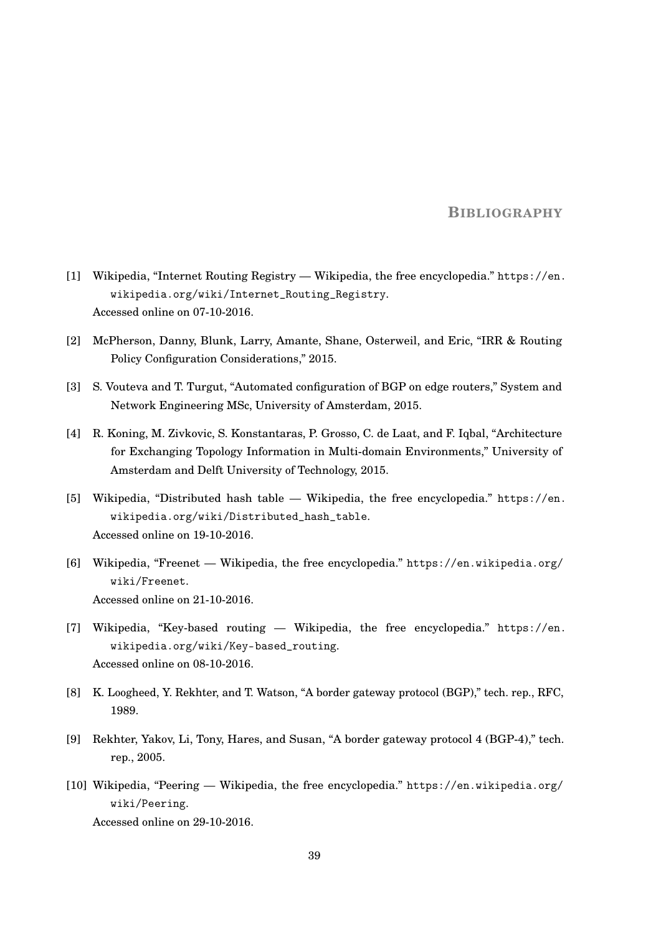### **BIBLIOGRAPHY**

- <span id="page-43-0"></span>[1] Wikipedia, "Internet Routing Registry — Wikipedia, the free encyclopedia." [https://en.](https://en.wikipedia.org/wiki/Internet_Routing_Registry) [wikipedia.org/wiki/Internet\\_Routing\\_Registry](https://en.wikipedia.org/wiki/Internet_Routing_Registry). Accessed online on 07-10-2016.
- <span id="page-43-1"></span>[2] McPherson, Danny, Blunk, Larry, Amante, Shane, Osterweil, and Eric, "IRR & Routing Policy Configuration Considerations," 2015.
- <span id="page-43-2"></span>[3] S. Vouteva and T. Turgut, "Automated configuration of BGP on edge routers," System and Network Engineering MSc, University of Amsterdam, 2015.
- <span id="page-43-3"></span>[4] R. Koning, M. Zivkovic, S. Konstantaras, P. Grosso, C. de Laat, and F. Iqbal, "Architecture for Exchanging Topology Information in Multi-domain Environments," University of Amsterdam and Delft University of Technology, 2015.
- <span id="page-43-4"></span>[5] Wikipedia, "Distributed hash table — Wikipedia, the free encyclopedia." [https://en.](https://en.wikipedia.org/wiki/Distributed_hash_table) [wikipedia.org/wiki/Distributed\\_hash\\_table](https://en.wikipedia.org/wiki/Distributed_hash_table). Accessed online on 19-10-2016.
- <span id="page-43-5"></span>[6] Wikipedia, "Freenet — Wikipedia, the free encyclopedia." [https://en.wikipedia.org/](https://en.wikipedia.org/wiki/Freenet) [wiki/Freenet](https://en.wikipedia.org/wiki/Freenet). Accessed online on 21-10-2016.
- <span id="page-43-6"></span>[7] Wikipedia, "Key-based routing — Wikipedia, the free encyclopedia." [https://en.](https://en.wikipedia.org/wiki/Key-based_routing) [wikipedia.org/wiki/Key-based\\_routing](https://en.wikipedia.org/wiki/Key-based_routing). Accessed online on 08-10-2016.
- <span id="page-43-7"></span>[8] K. Loogheed, Y. Rekhter, and T. Watson, "A border gateway protocol (BGP)," tech. rep., RFC, 1989.
- <span id="page-43-8"></span>[9] Rekhter, Yakov, Li, Tony, Hares, and Susan, "A border gateway protocol 4 (BGP-4)," tech. rep., 2005.
- <span id="page-43-9"></span>[10] Wikipedia, "Peering — Wikipedia, the free encyclopedia." [https://en.wikipedia.org/](https://en.wikipedia.org/wiki/Peering) [wiki/Peering](https://en.wikipedia.org/wiki/Peering).

Accessed online on 29-10-2016.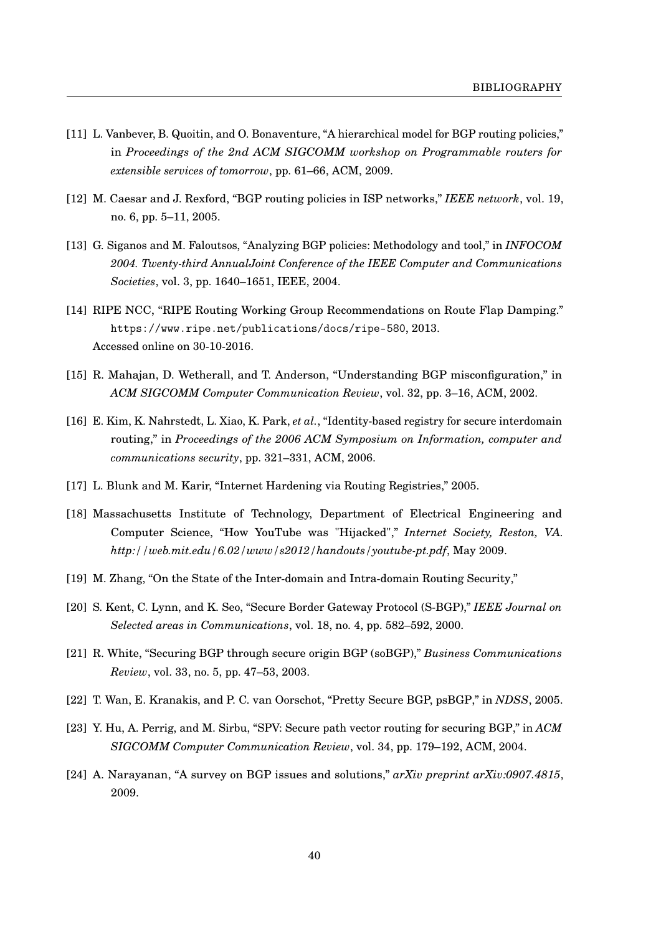- <span id="page-44-0"></span>[11] L. Vanbever, B. Quoitin, and O. Bonaventure, "A hierarchical model for BGP routing policies," in *Proceedings of the 2nd ACM SIGCOMM workshop on Programmable routers for extensible services of tomorrow*, pp. 61–66, ACM, 2009.
- <span id="page-44-1"></span>[12] M. Caesar and J. Rexford, "BGP routing policies in ISP networks," *IEEE network*, vol. 19, no. 6, pp. 5–11, 2005.
- <span id="page-44-2"></span>[13] G. Siganos and M. Faloutsos, "Analyzing BGP policies: Methodology and tool," in *INFOCOM 2004. Twenty-third AnnualJoint Conference of the IEEE Computer and Communications Societies*, vol. 3, pp. 1640–1651, IEEE, 2004.
- <span id="page-44-3"></span>[14] RIPE NCC, "RIPE Routing Working Group Recommendations on Route Flap Damping." <https://www.ripe.net/publications/docs/ripe-580>, 2013. Accessed online on 30-10-2016.
- <span id="page-44-4"></span>[15] R. Mahajan, D. Wetherall, and T. Anderson, "Understanding BGP misconfiguration," in *ACM SIGCOMM Computer Communication Review*, vol. 32, pp. 3–16, ACM, 2002.
- <span id="page-44-5"></span>[16] E. Kim, K. Nahrstedt, L. Xiao, K. Park, *et al.*, "Identity-based registry for secure interdomain routing," in *Proceedings of the 2006 ACM Symposium on Information, computer and communications security*, pp. 321–331, ACM, 2006.
- <span id="page-44-6"></span>[17] L. Blunk and M. Karir, "Internet Hardening via Routing Registries," 2005.
- <span id="page-44-7"></span>[18] Massachusetts Institute of Technology, Department of Electrical Engineering and Computer Science, "How YouTube was "Hijacked"," *Internet Society, Reston, VA. http://web.mit.edu/6.02/www/s2012/handouts/youtube-pt.pdf*, May 2009.
- <span id="page-44-8"></span>[19] M. Zhang, "On the State of the Inter-domain and Intra-domain Routing Security,"
- <span id="page-44-9"></span>[20] S. Kent, C. Lynn, and K. Seo, "Secure Border Gateway Protocol (S-BGP)," *IEEE Journal on Selected areas in Communications*, vol. 18, no. 4, pp. 582–592, 2000.
- <span id="page-44-10"></span>[21] R. White, "Securing BGP through secure origin BGP (soBGP)," *Business Communications Review*, vol. 33, no. 5, pp. 47–53, 2003.
- <span id="page-44-11"></span>[22] T. Wan, E. Kranakis, and P. C. van Oorschot, "Pretty Secure BGP, psBGP," in *NDSS*, 2005.
- <span id="page-44-12"></span>[23] Y. Hu, A. Perrig, and M. Sirbu, "SPV: Secure path vector routing for securing BGP," in *ACM SIGCOMM Computer Communication Review*, vol. 34, pp. 179–192, ACM, 2004.
- <span id="page-44-13"></span>[24] A. Narayanan, "A survey on BGP issues and solutions," *arXiv preprint arXiv:0907.4815*, 2009.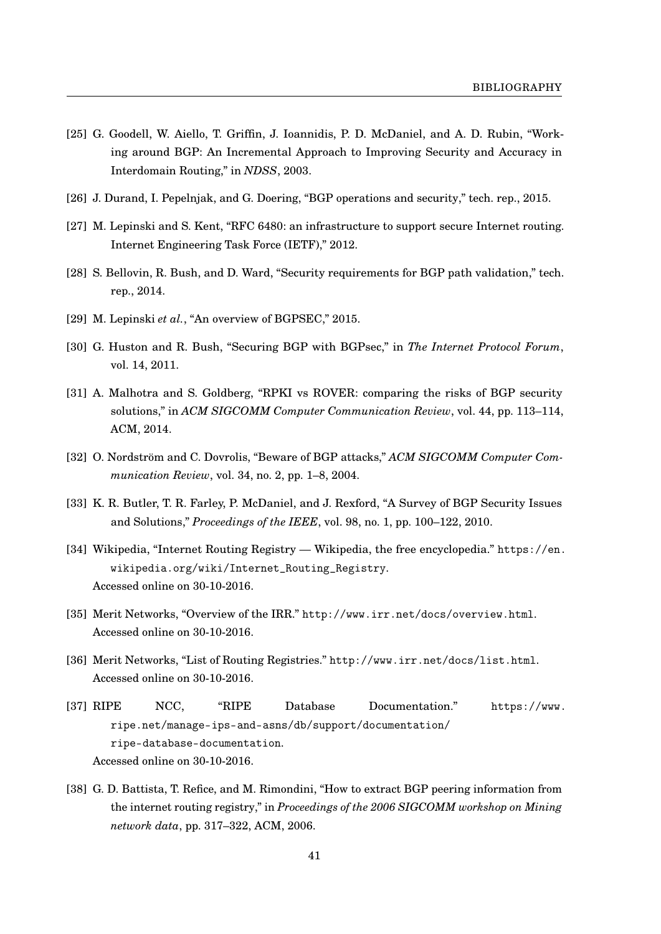- <span id="page-45-0"></span>[25] G. Goodell, W. Aiello, T. Griffin, J. Ioannidis, P. D. McDaniel, and A. D. Rubin, "Working around BGP: An Incremental Approach to Improving Security and Accuracy in Interdomain Routing," in *NDSS*, 2003.
- <span id="page-45-1"></span>[26] J. Durand, I. Pepelnjak, and G. Doering, "BGP operations and security," tech. rep., 2015.
- <span id="page-45-2"></span>[27] M. Lepinski and S. Kent, "RFC 6480: an infrastructure to support secure Internet routing. Internet Engineering Task Force (IETF)," 2012.
- <span id="page-45-3"></span>[28] S. Bellovin, R. Bush, and D. Ward, "Security requirements for BGP path validation," tech. rep., 2014.
- <span id="page-45-4"></span>[29] M. Lepinski *et al.*, "An overview of BGPSEC," 2015.
- <span id="page-45-5"></span>[30] G. Huston and R. Bush, "Securing BGP with BGPsec," in *The Internet Protocol Forum*, vol. 14, 2011.
- <span id="page-45-6"></span>[31] A. Malhotra and S. Goldberg, "RPKI vs ROVER: comparing the risks of BGP security solutions," in *ACM SIGCOMM Computer Communication Review*, vol. 44, pp. 113–114, ACM, 2014.
- <span id="page-45-7"></span>[32] O. Nordström and C. Dovrolis, "Beware of BGP attacks," *ACM SIGCOMM Computer Communication Review*, vol. 34, no. 2, pp. 1–8, 2004.
- <span id="page-45-8"></span>[33] K. R. Butler, T. R. Farley, P. McDaniel, and J. Rexford, "A Survey of BGP Security Issues and Solutions," *Proceedings of the IEEE*, vol. 98, no. 1, pp. 100–122, 2010.
- <span id="page-45-9"></span>[34] Wikipedia, "Internet Routing Registry — Wikipedia, the free encyclopedia." [https://en.](https://en.wikipedia.org/wiki/Internet_Routing_Registry) [wikipedia.org/wiki/Internet\\_Routing\\_Registry](https://en.wikipedia.org/wiki/Internet_Routing_Registry). Accessed online on 30-10-2016.
- <span id="page-45-10"></span>[35] Merit Networks, "Overview of the IRR." <http://www.irr.net/docs/overview.html>. Accessed online on 30-10-2016.
- <span id="page-45-11"></span>[36] Merit Networks, "List of Routing Registries." <http://www.irr.net/docs/list.html>. Accessed online on 30-10-2016.
- <span id="page-45-12"></span>[37] RIPE NCC, "RIPE Database Documentation." [https://www.](https://www.ripe.net/manage-ips-and-asns/db/support/documentation/ripe-database-documentation) [ripe.net/manage-ips-and-asns/db/support/documentation/](https://www.ripe.net/manage-ips-and-asns/db/support/documentation/ripe-database-documentation) [ripe-database-documentation](https://www.ripe.net/manage-ips-and-asns/db/support/documentation/ripe-database-documentation). Accessed online on 30-10-2016.
- <span id="page-45-13"></span>[38] G. D. Battista, T. Refice, and M. Rimondini, "How to extract BGP peering information from the internet routing registry," in *Proceedings of the 2006 SIGCOMM workshop on Mining network data*, pp. 317–322, ACM, 2006.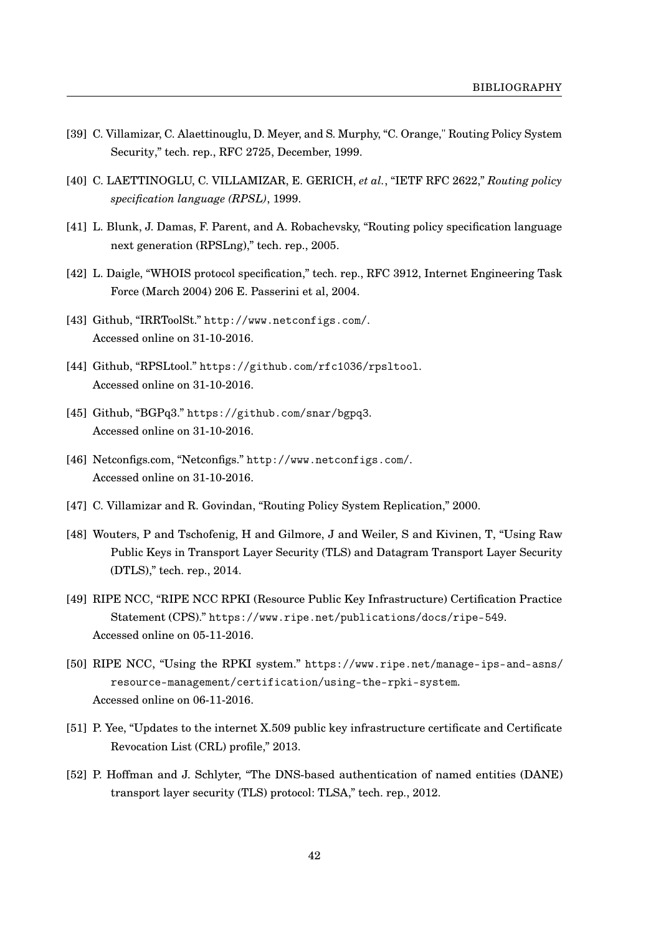- <span id="page-46-0"></span>[39] C. Villamizar, C. Alaettinouglu, D. Meyer, and S. Murphy, "C. Orange," Routing Policy System Security," tech. rep., RFC 2725, December, 1999.
- <span id="page-46-1"></span>[40] C. LAETTINOGLU, C. VILLAMIZAR, E. GERICH, *et al.*, "IETF RFC 2622," *Routing policy specification language (RPSL)*, 1999.
- <span id="page-46-2"></span>[41] L. Blunk, J. Damas, F. Parent, and A. Robachevsky, "Routing policy specification language next generation (RPSLng)," tech. rep., 2005.
- <span id="page-46-3"></span>[42] L. Daigle, "WHOIS protocol specification," tech. rep., RFC 3912, Internet Engineering Task Force (March 2004) 206 E. Passerini et al, 2004.
- <span id="page-46-4"></span>[43] Github, "IRRToolSt." <http://www.netconfigs.com/>. Accessed online on 31-10-2016.
- <span id="page-46-5"></span>[44] Github, "RPSLtool." <https://github.com/rfc1036/rpsltool>. Accessed online on 31-10-2016.
- <span id="page-46-6"></span>[45] Github, "BGPq3." <https://github.com/snar/bgpq3>. Accessed online on 31-10-2016.
- <span id="page-46-7"></span>[46] Netconfigs.com, "Netconfigs." <http://www.netconfigs.com/>. Accessed online on 31-10-2016.
- <span id="page-46-8"></span>[47] C. Villamizar and R. Govindan, "Routing Policy System Replication," 2000.
- <span id="page-46-9"></span>[48] Wouters, P and Tschofenig, H and Gilmore, J and Weiler, S and Kivinen, T, "Using Raw Public Keys in Transport Layer Security (TLS) and Datagram Transport Layer Security (DTLS)," tech. rep., 2014.
- <span id="page-46-10"></span>[49] RIPE NCC, "RIPE NCC RPKI (Resource Public Key Infrastructure) Certification Practice Statement (CPS)." <https://www.ripe.net/publications/docs/ripe-549>. Accessed online on 05-11-2016.
- <span id="page-46-11"></span>[50] RIPE NCC, "Using the RPKI system." [https://www.ripe.net/manage-ips-and-asns/](https://www.ripe.net/manage-ips-and-asns/resource-management/certification/using-the-rpki-system) [resource-management/certification/using-the-rpki-system](https://www.ripe.net/manage-ips-and-asns/resource-management/certification/using-the-rpki-system). Accessed online on 06-11-2016.
- <span id="page-46-12"></span>[51] P. Yee, "Updates to the internet X.509 public key infrastructure certificate and Certificate Revocation List (CRL) profile," 2013.
- <span id="page-46-13"></span>[52] P. Hoffman and J. Schlyter, "The DNS-based authentication of named entities (DANE) transport layer security (TLS) protocol: TLSA," tech. rep., 2012.